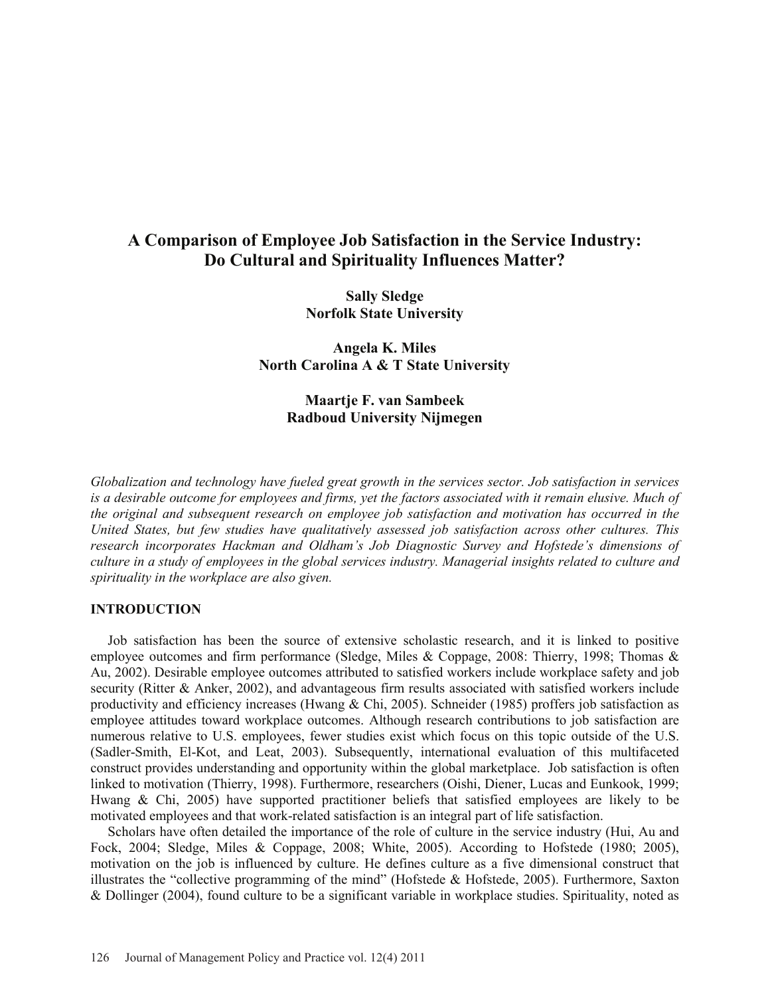# **A Comparison of Employee Job Satisfaction in the Service Industry: Do Cultural and Spirituality Influences Matter?**

**Sally Sledge Norfolk State University** 

**Angela K. Miles North Carolina A & T State University** 

> **Maartje F. van Sambeek Radboud University Nijmegen**

*Globalization and technology have fueled great growth in the services sector. Job satisfaction in services is a desirable outcome for employees and firms, yet the factors associated with it remain elusive. Much of the original and subsequent research on employee job satisfaction and motivation has occurred in the United States, but few studies have qualitatively assessed job satisfaction across other cultures. This research incorporates Hackman and Oldham's Job Diagnostic Survey and Hofstede's dimensions of culture in a study of employees in the global services industry. Managerial insights related to culture and spirituality in the workplace are also given.* 

## **INTRODUCTION**

 Job satisfaction has been the source of extensive scholastic research, and it is linked to positive employee outcomes and firm performance (Sledge, Miles & Coppage, 2008: Thierry, 1998; Thomas & Au, 2002). Desirable employee outcomes attributed to satisfied workers include workplace safety and job security (Ritter & Anker, 2002), and advantageous firm results associated with satisfied workers include productivity and efficiency increases (Hwang & Chi, 2005). Schneider (1985) proffers job satisfaction as employee attitudes toward workplace outcomes. Although research contributions to job satisfaction are numerous relative to U.S. employees, fewer studies exist which focus on this topic outside of the U.S. (Sadler-Smith, El-Kot, and Leat, 2003). Subsequently, international evaluation of this multifaceted construct provides understanding and opportunity within the global marketplace. Job satisfaction is often linked to motivation (Thierry, 1998). Furthermore, researchers (Oishi, Diener, Lucas and Eunkook, 1999; Hwang & Chi, 2005) have supported practitioner beliefs that satisfied employees are likely to be motivated employees and that work-related satisfaction is an integral part of life satisfaction.

 Scholars have often detailed the importance of the role of culture in the service industry (Hui, Au and Fock, 2004; Sledge, Miles & Coppage, 2008; White, 2005). According to Hofstede (1980; 2005), motivation on the job is influenced by culture. He defines culture as a five dimensional construct that illustrates the "collective programming of the mind" (Hofstede & Hofstede, 2005). Furthermore, Saxton & Dollinger (2004), found culture to be a significant variable in workplace studies. Spirituality, noted as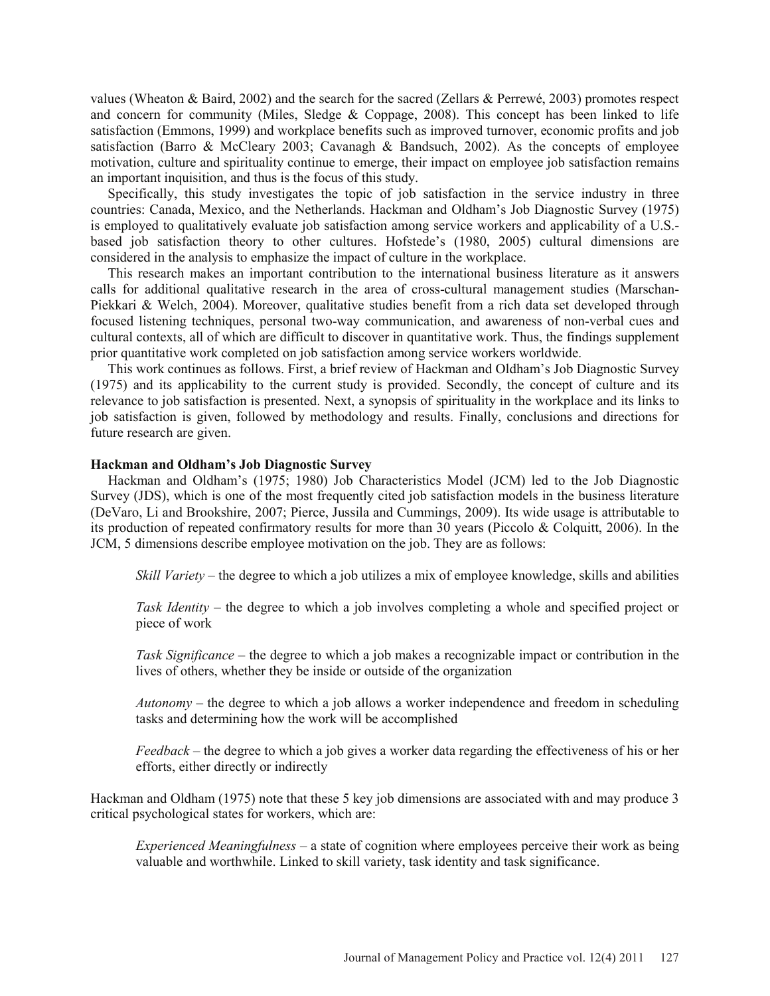values (Wheaton & Baird, 2002) and the search for the sacred (Zellars & Perrewé, 2003) promotes respect and concern for community (Miles, Sledge & Coppage, 2008). This concept has been linked to life satisfaction (Emmons, 1999) and workplace benefits such as improved turnover, economic profits and job satisfaction (Barro & McCleary 2003; Cavanagh & Bandsuch, 2002). As the concepts of employee motivation, culture and spirituality continue to emerge, their impact on employee job satisfaction remains an important inquisition, and thus is the focus of this study.

 Specifically, this study investigates the topic of job satisfaction in the service industry in three countries: Canada, Mexico, and the Netherlands. Hackman and Oldham's Job Diagnostic Survey (1975) is employed to qualitatively evaluate job satisfaction among service workers and applicability of a U.S. based job satisfaction theory to other cultures. Hofstede's (1980, 2005) cultural dimensions are considered in the analysis to emphasize the impact of culture in the workplace.

 This research makes an important contribution to the international business literature as it answers calls for additional qualitative research in the area of cross-cultural management studies (Marschan-Piekkari & Welch, 2004). Moreover, qualitative studies benefit from a rich data set developed through focused listening techniques, personal two-way communication, and awareness of non-verbal cues and cultural contexts, all of which are difficult to discover in quantitative work. Thus, the findings supplement prior quantitative work completed on job satisfaction among service workers worldwide.

 This work continues as follows. First, a brief review of Hackman and Oldham's Job Diagnostic Survey (1975) and its applicability to the current study is provided. Secondly, the concept of culture and its relevance to job satisfaction is presented. Next, a synopsis of spirituality in the workplace and its links to job satisfaction is given, followed by methodology and results. Finally, conclusions and directions for future research are given.

### **Hackman and Oldham's Job Diagnostic Survey**

 Hackman and Oldham's (1975; 1980) Job Characteristics Model (JCM) led to the Job Diagnostic Survey (JDS), which is one of the most frequently cited job satisfaction models in the business literature (DeVaro, Li and Brookshire, 2007; Pierce, Jussila and Cummings, 2009). Its wide usage is attributable to its production of repeated confirmatory results for more than 30 years (Piccolo & Colquitt, 2006). In the JCM, 5 dimensions describe employee motivation on the job. They are as follows:

*Skill Variety* – the degree to which a job utilizes a mix of employee knowledge, skills and abilities

*Task Identity* – the degree to which a job involves completing a whole and specified project or piece of work

*Task Significance* – the degree to which a job makes a recognizable impact or contribution in the lives of others, whether they be inside or outside of the organization

*Autonomy* – the degree to which a job allows a worker independence and freedom in scheduling tasks and determining how the work will be accomplished

*Feedback* – the degree to which a job gives a worker data regarding the effectiveness of his or her efforts, either directly or indirectly

Hackman and Oldham (1975) note that these 5 key job dimensions are associated with and may produce 3 critical psychological states for workers, which are:

*Experienced Meaningfulness* – a state of cognition where employees perceive their work as being valuable and worthwhile. Linked to skill variety, task identity and task significance.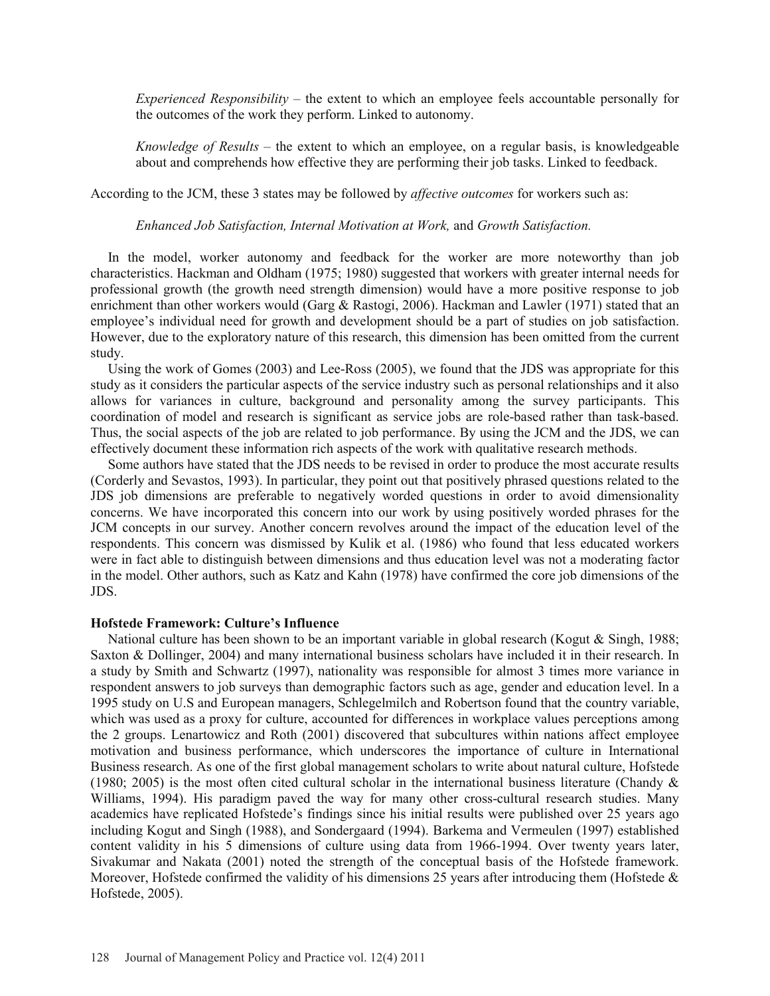*Experienced Responsibility* – the extent to which an employee feels accountable personally for the outcomes of the work they perform. Linked to autonomy.

*Knowledge of Results* – the extent to which an employee, on a regular basis, is knowledgeable about and comprehends how effective they are performing their job tasks. Linked to feedback.

According to the JCM, these 3 states may be followed by *affective outcomes* for workers such as:

*Enhanced Job Satisfaction, Internal Motivation at Work,* and *Growth Satisfaction.* 

 In the model, worker autonomy and feedback for the worker are more noteworthy than job characteristics. Hackman and Oldham (1975; 1980) suggested that workers with greater internal needs for professional growth (the growth need strength dimension) would have a more positive response to job enrichment than other workers would (Garg & Rastogi, 2006). Hackman and Lawler (1971) stated that an employee's individual need for growth and development should be a part of studies on job satisfaction. However, due to the exploratory nature of this research, this dimension has been omitted from the current study.

 Using the work of Gomes (2003) and Lee-Ross (2005), we found that the JDS was appropriate for this study as it considers the particular aspects of the service industry such as personal relationships and it also allows for variances in culture, background and personality among the survey participants. This coordination of model and research is significant as service jobs are role-based rather than task-based. Thus, the social aspects of the job are related to job performance. By using the JCM and the JDS, we can effectively document these information rich aspects of the work with qualitative research methods.

 Some authors have stated that the JDS needs to be revised in order to produce the most accurate results (Corderly and Sevastos, 1993). In particular, they point out that positively phrased questions related to the JDS job dimensions are preferable to negatively worded questions in order to avoid dimensionality concerns. We have incorporated this concern into our work by using positively worded phrases for the JCM concepts in our survey. Another concern revolves around the impact of the education level of the respondents. This concern was dismissed by Kulik et al. (1986) who found that less educated workers were in fact able to distinguish between dimensions and thus education level was not a moderating factor in the model. Other authors, such as Katz and Kahn (1978) have confirmed the core job dimensions of the JDS.

#### **Hofstede Framework: Culture's Influence**

National culture has been shown to be an important variable in global research (Kogut  $\&$  Singh, 1988; Saxton & Dollinger, 2004) and many international business scholars have included it in their research. In a study by Smith and Schwartz (1997), nationality was responsible for almost 3 times more variance in respondent answers to job surveys than demographic factors such as age, gender and education level. In a 1995 study on U.S and European managers, Schlegelmilch and Robertson found that the country variable, which was used as a proxy for culture, accounted for differences in workplace values perceptions among the 2 groups. Lenartowicz and Roth (2001) discovered that subcultures within nations affect employee motivation and business performance, which underscores the importance of culture in International Business research. As one of the first global management scholars to write about natural culture, Hofstede (1980; 2005) is the most often cited cultural scholar in the international business literature (Chandy & Williams, 1994). His paradigm paved the way for many other cross-cultural research studies. Many academics have replicated Hofstede's findings since his initial results were published over 25 years ago including Kogut and Singh (1988), and Sondergaard (1994). Barkema and Vermeulen (1997) established content validity in his 5 dimensions of culture using data from 1966-1994. Over twenty years later, Sivakumar and Nakata (2001) noted the strength of the conceptual basis of the Hofstede framework. Moreover, Hofstede confirmed the validity of his dimensions 25 years after introducing them (Hofstede  $\&$ Hofstede, 2005).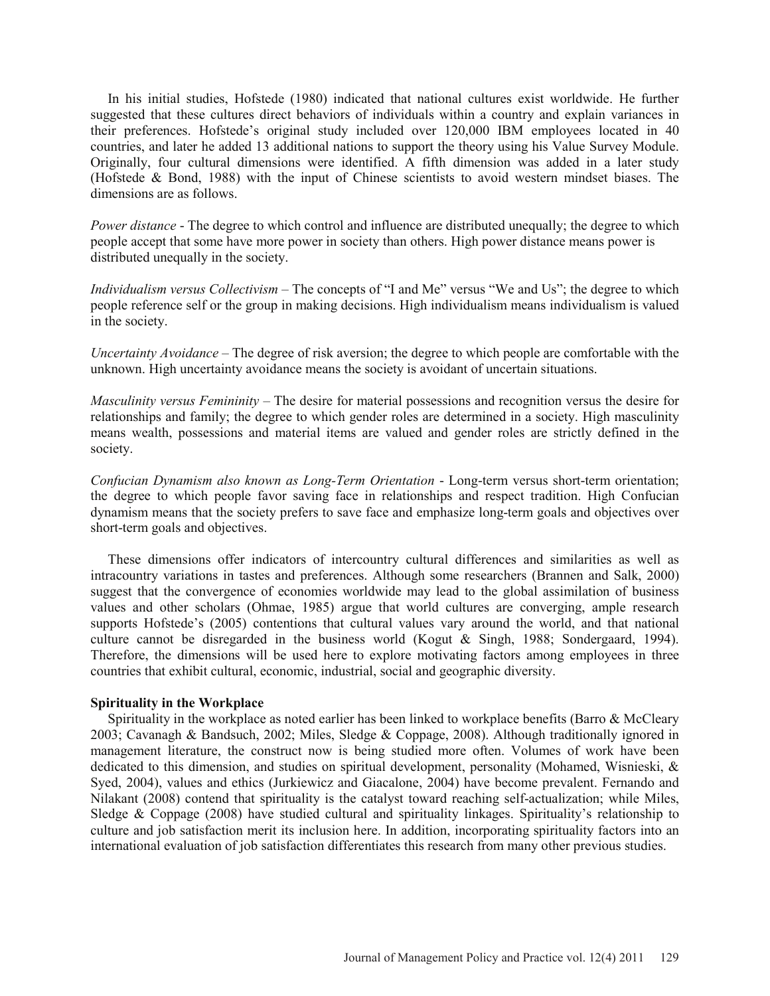In his initial studies, Hofstede (1980) indicated that national cultures exist worldwide. He further suggested that these cultures direct behaviors of individuals within a country and explain variances in their preferences. Hofstede's original study included over 120,000 IBM employees located in 40 countries, and later he added 13 additional nations to support the theory using his Value Survey Module. Originally, four cultural dimensions were identified. A fifth dimension was added in a later study (Hofstede & Bond, 1988) with the input of Chinese scientists to avoid western mindset biases. The dimensions are as follows.

*Power distance* - The degree to which control and influence are distributed unequally; the degree to which people accept that some have more power in society than others. High power distance means power is distributed unequally in the society.

*Individualism versus Collectivism* – The concepts of "I and Me" versus "We and Us"; the degree to which people reference self or the group in making decisions. High individualism means individualism is valued in the society.

*Uncertainty Avoidance* – The degree of risk aversion; the degree to which people are comfortable with the unknown. High uncertainty avoidance means the society is avoidant of uncertain situations.

*Masculinity versus Femininity* – The desire for material possessions and recognition versus the desire for relationships and family; the degree to which gender roles are determined in a society. High masculinity means wealth, possessions and material items are valued and gender roles are strictly defined in the society.

*Confucian Dynamism also known as Long-Term Orientation* - Long-term versus short-term orientation; the degree to which people favor saving face in relationships and respect tradition. High Confucian dynamism means that the society prefers to save face and emphasize long-term goals and objectives over short-term goals and objectives.

 These dimensions offer indicators of intercountry cultural differences and similarities as well as intracountry variations in tastes and preferences. Although some researchers (Brannen and Salk, 2000) suggest that the convergence of economies worldwide may lead to the global assimilation of business values and other scholars (Ohmae, 1985) argue that world cultures are converging, ample research supports Hofstede's (2005) contentions that cultural values vary around the world, and that national culture cannot be disregarded in the business world (Kogut & Singh, 1988; Sondergaard, 1994). Therefore, the dimensions will be used here to explore motivating factors among employees in three countries that exhibit cultural, economic, industrial, social and geographic diversity.

### **Spirituality in the Workplace**

 Spirituality in the workplace as noted earlier has been linked to workplace benefits (Barro & McCleary 2003; Cavanagh & Bandsuch, 2002; Miles, Sledge & Coppage, 2008). Although traditionally ignored in management literature, the construct now is being studied more often. Volumes of work have been dedicated to this dimension, and studies on spiritual development, personality (Mohamed, Wisnieski, & Syed, 2004), values and ethics (Jurkiewicz and Giacalone, 2004) have become prevalent. Fernando and Nilakant (2008) contend that spirituality is the catalyst toward reaching self-actualization; while Miles, Sledge & Coppage (2008) have studied cultural and spirituality linkages. Spirituality's relationship to culture and job satisfaction merit its inclusion here. In addition, incorporating spirituality factors into an international evaluation of job satisfaction differentiates this research from many other previous studies.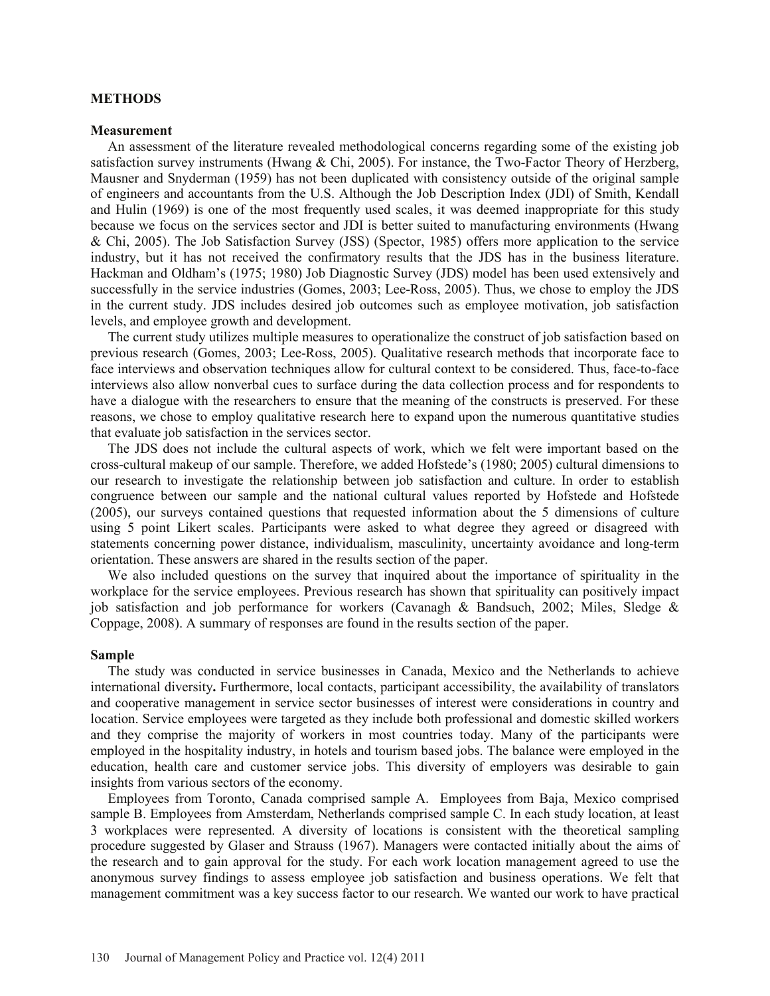### **METHODS**

#### **Measurement**

 An assessment of the literature revealed methodological concerns regarding some of the existing job satisfaction survey instruments (Hwang & Chi, 2005). For instance, the Two-Factor Theory of Herzberg, Mausner and Snyderman (1959) has not been duplicated with consistency outside of the original sample of engineers and accountants from the U.S. Although the Job Description Index (JDI) of Smith, Kendall and Hulin (1969) is one of the most frequently used scales, it was deemed inappropriate for this study because we focus on the services sector and JDI is better suited to manufacturing environments (Hwang & Chi, 2005). The Job Satisfaction Survey (JSS) (Spector, 1985) offers more application to the service industry, but it has not received the confirmatory results that the JDS has in the business literature. Hackman and Oldham's (1975; 1980) Job Diagnostic Survey (JDS) model has been used extensively and successfully in the service industries (Gomes, 2003; Lee-Ross, 2005). Thus, we chose to employ the JDS in the current study. JDS includes desired job outcomes such as employee motivation, job satisfaction levels, and employee growth and development.

 The current study utilizes multiple measures to operationalize the construct of job satisfaction based on previous research (Gomes, 2003; Lee-Ross, 2005). Qualitative research methods that incorporate face to face interviews and observation techniques allow for cultural context to be considered. Thus, face-to-face interviews also allow nonverbal cues to surface during the data collection process and for respondents to have a dialogue with the researchers to ensure that the meaning of the constructs is preserved. For these reasons, we chose to employ qualitative research here to expand upon the numerous quantitative studies that evaluate job satisfaction in the services sector.

 The JDS does not include the cultural aspects of work, which we felt were important based on the cross-cultural makeup of our sample. Therefore, we added Hofstede's (1980; 2005) cultural dimensions to our research to investigate the relationship between job satisfaction and culture. In order to establish congruence between our sample and the national cultural values reported by Hofstede and Hofstede (2005), our surveys contained questions that requested information about the 5 dimensions of culture using 5 point Likert scales. Participants were asked to what degree they agreed or disagreed with statements concerning power distance, individualism, masculinity, uncertainty avoidance and long-term orientation. These answers are shared in the results section of the paper.

 We also included questions on the survey that inquired about the importance of spirituality in the workplace for the service employees. Previous research has shown that spirituality can positively impact job satisfaction and job performance for workers (Cavanagh & Bandsuch, 2002; Miles, Sledge & Coppage, 2008). A summary of responses are found in the results section of the paper.

#### **Sample**

 The study was conducted in service businesses in Canada, Mexico and the Netherlands to achieve international diversity**.** Furthermore, local contacts, participant accessibility, the availability of translators and cooperative management in service sector businesses of interest were considerations in country and location. Service employees were targeted as they include both professional and domestic skilled workers and they comprise the majority of workers in most countries today. Many of the participants were employed in the hospitality industry, in hotels and tourism based jobs. The balance were employed in the education, health care and customer service jobs. This diversity of employers was desirable to gain insights from various sectors of the economy.

 Employees from Toronto, Canada comprised sample A. Employees from Baja, Mexico comprised sample B. Employees from Amsterdam, Netherlands comprised sample C. In each study location, at least 3 workplaces were represented. A diversity of locations is consistent with the theoretical sampling procedure suggested by Glaser and Strauss (1967). Managers were contacted initially about the aims of the research and to gain approval for the study. For each work location management agreed to use the anonymous survey findings to assess employee job satisfaction and business operations. We felt that management commitment was a key success factor to our research. We wanted our work to have practical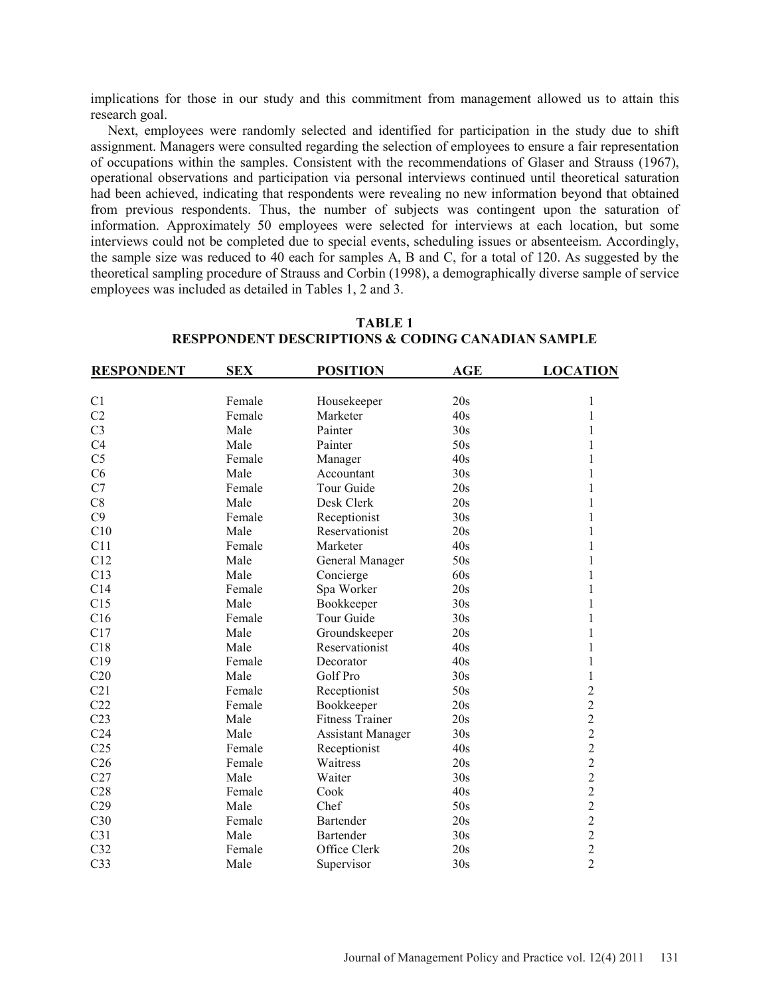implications for those in our study and this commitment from management allowed us to attain this research goal.

 Next, employees were randomly selected and identified for participation in the study due to shift assignment. Managers were consulted regarding the selection of employees to ensure a fair representation of occupations within the samples. Consistent with the recommendations of Glaser and Strauss (1967), operational observations and participation via personal interviews continued until theoretical saturation had been achieved, indicating that respondents were revealing no new information beyond that obtained from previous respondents. Thus, the number of subjects was contingent upon the saturation of information. Approximately 50 employees were selected for interviews at each location, but some interviews could not be completed due to special events, scheduling issues or absenteeism. Accordingly, the sample size was reduced to 40 each for samples A, B and C, for a total of 120. As suggested by the theoretical sampling procedure of Strauss and Corbin (1998), a demographically diverse sample of service employees was included as detailed in Tables 1, 2 and 3.

| <b>RESPONDENT</b> | <b>SEX</b> | <b>POSITION</b>          | <b>AGE</b> | <b>LOCATION</b> |
|-------------------|------------|--------------------------|------------|-----------------|
|                   |            |                          |            |                 |
| C <sub>1</sub>    | Female     | Housekeeper              | 20s        | 1               |
| C <sub>2</sub>    | Female     | Marketer                 | 40s        | 1               |
| C <sub>3</sub>    | Male       | Painter                  | 30s        | 1               |
| C4                | Male       | Painter                  | 50s        | 1               |
| C <sub>5</sub>    | Female     | Manager                  | 40s        | 1               |
| C6                | Male       | Accountant               | 30s        | 1               |
| C7                | Female     | Tour Guide               | 20s        |                 |
| C8                | Male       | Desk Clerk               | 20s        |                 |
| C9                | Female     | Receptionist             | 30s        |                 |
| C10               | Male       | Reservationist           | 20s        |                 |
| C11               | Female     | Marketer                 | 40s        | 1               |
| C12               | Male       | General Manager          | 50s        | 1               |
| C13               | Male       | Concierge                | 60s        | 1               |
| C14               | Female     | Spa Worker               | 20s        | 1               |
| C15               | Male       | Bookkeeper               | 30s        |                 |
| C16               | Female     | Tour Guide               | 30s        | 1               |
| C17               | Male       | Groundskeeper            | 20s        | 1               |
| C18               | Male       | Reservationist           | 40s        | 1               |
| C19               | Female     | Decorator                | 40s        | 1               |
| C20               | Male       | Golf Pro                 | 30s        | 1               |
| C21               | Female     | Receptionist             | 50s        | $\overline{2}$  |
| C22               | Female     | Bookkeeper               | 20s        | $\overline{2}$  |
| C <sub>23</sub>   | Male       | <b>Fitness Trainer</b>   | 20s        | $\overline{c}$  |
| C <sub>24</sub>   | Male       | <b>Assistant Manager</b> | 30s        | $\overline{c}$  |
| C <sub>25</sub>   | Female     | Receptionist             | 40s        | $\overline{c}$  |
| C <sub>26</sub>   | Female     | Waitress                 | 20s        | $\overline{c}$  |
| C27               | Male       | Waiter                   | 30s        | $\overline{c}$  |
| C28               | Female     | Cook                     | 40s        | $\overline{c}$  |
| C29               | Male       | Chef                     | 50s        | $\overline{c}$  |
| C30               | Female     | <b>Bartender</b>         | 20s        | $\overline{2}$  |
| C31               | Male       | Bartender                | 30s        | $\overline{c}$  |
| C <sub>32</sub>   | Female     | Office Clerk             | 20s        | $\overline{2}$  |
| C <sub>33</sub>   | Male       | Supervisor               | 30s        | $\overline{2}$  |

# **TABLE 1 RESPPONDENT DESCRIPTIONS & CODING CANADIAN SAMPLE**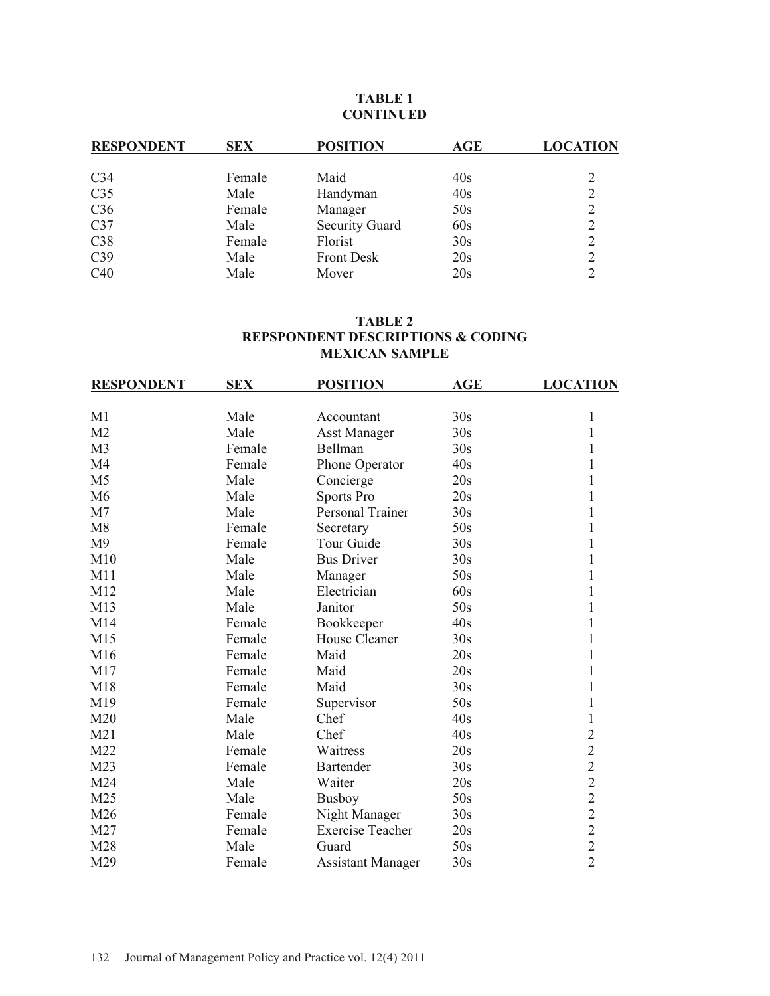# **TABLE 1 CONTINUED**

| <b>RESPONDENT</b> | <b>SEX</b> | <b>POSITION</b>       | AGE | <b>LOCATION</b> |
|-------------------|------------|-----------------------|-----|-----------------|
|                   |            |                       |     |                 |
| C <sub>34</sub>   | Female     | Maid                  | 40s |                 |
| C <sub>35</sub>   | Male       | Handyman              | 40s | 2               |
| C <sub>36</sub>   | Female     | Manager               | 50s |                 |
| C <sub>37</sub>   | Male       | <b>Security Guard</b> | 60s |                 |
| C38               | Female     | Florist               | 30s |                 |
| C <sub>39</sub>   | Male       | <b>Front Desk</b>     | 20s |                 |
| C40               | Male       | Mover                 | 20s |                 |

# **TABLE 2 REPSPONDENT DESCRIPTIONS & CODING MEXICAN SAMPLE**

| <b>RESPONDENT</b> | <b>SEX</b> | <b>POSITION</b>          | AGE | <b>LOCATION</b> |
|-------------------|------------|--------------------------|-----|-----------------|
| M1                | Male       | Accountant               | 30s | 1               |
|                   |            |                          |     |                 |
| M <sub>2</sub>    | Male       | <b>Asst Manager</b>      | 30s | 1               |
| M <sub>3</sub>    | Female     | Bellman                  | 30s |                 |
| M <sub>4</sub>    | Female     | Phone Operator           | 40s |                 |
| M <sub>5</sub>    | Male       | Concierge                | 20s | 1               |
| M <sub>6</sub>    | Male       | Sports Pro               | 20s | 1               |
| M <sub>7</sub>    | Male       | Personal Trainer         | 30s | 1               |
| M8                | Female     | Secretary                | 50s |                 |
| M <sub>9</sub>    | Female     | <b>Tour Guide</b>        | 30s |                 |
| M10               | Male       | <b>Bus Driver</b>        | 30s |                 |
| M11               | Male       | Manager                  | 50s | 1               |
| M12               | Male       | Electrician              | 60s | 1               |
| M13               | Male       | Janitor                  | 50s |                 |
| M14               | Female     | Bookkeeper               | 40s | 1               |
| M15               | Female     | <b>House Cleaner</b>     | 30s |                 |
| M16               | Female     | Maid                     | 20s | 1               |
| M17               | Female     | Maid                     | 20s |                 |
| M18               | Female     | Maid                     | 30s |                 |
| M19               | Female     | Supervisor               | 50s | 1               |
| M20               | Male       | Chef                     | 40s | 1               |
| M21               | Male       | Chef                     | 40s | $\overline{2}$  |
| M22               | Female     | Waitress                 | 20s | $\overline{2}$  |
| M <sub>23</sub>   | Female     | <b>Bartender</b>         | 30s | $\overline{2}$  |
| M24               | Male       | Waiter                   | 20s | $\overline{2}$  |
| M <sub>25</sub>   | Male       | <b>Busboy</b>            | 50s | $\overline{2}$  |
| M26               | Female     | Night Manager            | 30s | $\overline{2}$  |
| M27               | Female     | <b>Exercise Teacher</b>  | 20s | $\overline{2}$  |
| M28               | Male       | Guard                    | 50s | $\overline{2}$  |
| M29               | Female     | <b>Assistant Manager</b> | 30s | $\overline{2}$  |
|                   |            |                          |     |                 |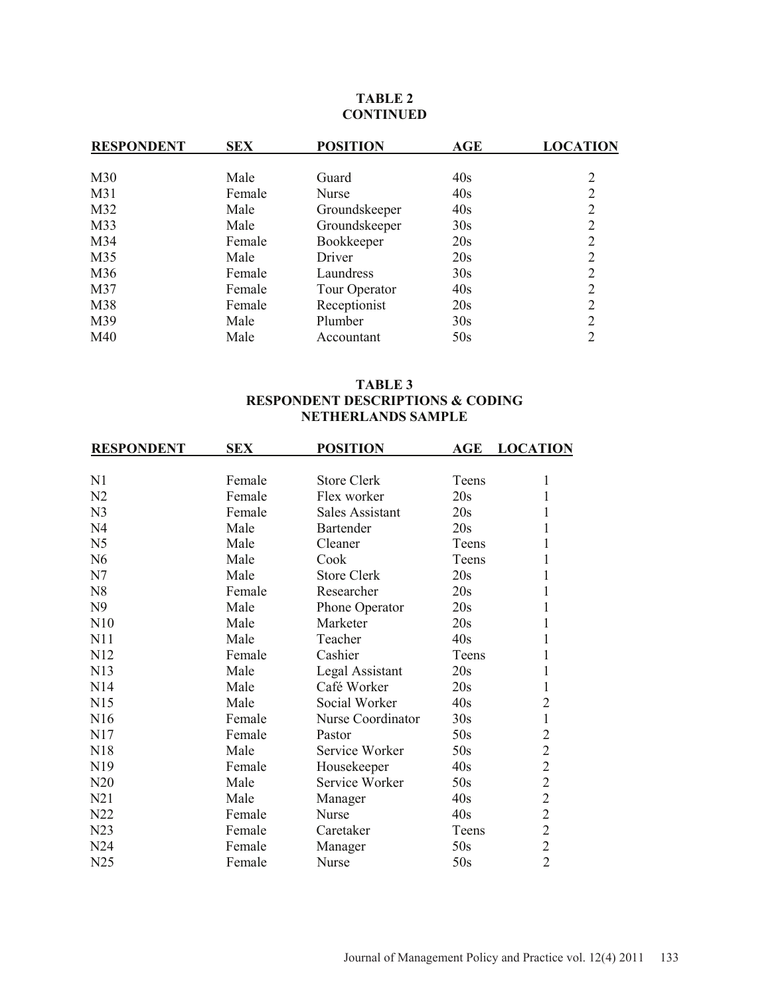# **TABLE 2 CONTINUED**

| <b>RESPONDENT</b> | <b>SEX</b> | <b>POSITION</b> | AGE | <b>LOCATION</b> |
|-------------------|------------|-----------------|-----|-----------------|
| M30               | Male       | Guard           | 40s | 2               |
| M31               | Female     | <b>Nurse</b>    | 40s |                 |
| M32               | Male       | Groundskeeper   | 40s |                 |
| M33               | Male       | Groundskeeper   | 30s | ↑               |
| M34               | Female     | Bookkeeper      | 20s | 2               |
| M35               | Male       | Driver          | 20s | 2               |
| M36               | Female     | Laundress       | 30s | 2               |
| M37               | Female     | Tour Operator   | 40s | 2               |
| M38               | Female     | Receptionist    | 20s | 2               |
| M39               | Male       | Plumber         | 30s |                 |
| M40               | Male       | Accountant      | 50s |                 |

# **TABLE 3 RESPONDENT DESCRIPTIONS & CODING NETHERLANDS SAMPLE**

| N <sub>1</sub><br>Female<br><b>Store Clerk</b><br>1<br>Teens<br>N2<br>20s<br>$\mathbf{1}$<br>Female<br>Flex worker<br>N <sub>3</sub><br>Female<br><b>Sales Assistant</b><br>20s<br>1<br>N <sub>4</sub><br>Male<br>Bartender<br>20s<br>1<br>N <sub>5</sub><br>1<br>Male<br>Cleaner<br>Teens<br>N <sub>6</sub><br>1<br>Male<br>Cook<br>Teens<br>1<br>N7<br><b>Store Clerk</b><br>20s<br>Male<br>1<br>N <sub>8</sub><br>Researcher<br>20s<br>Female<br>1<br>N <sub>9</sub><br>Male<br>20s<br>Phone Operator<br>N10<br>20s<br>1<br>Male<br>Marketer<br>40s<br>1<br>N11<br>Male<br>Teacher<br>1<br>N <sub>12</sub><br>Cashier<br>Female<br>Teens<br>1<br>N13<br>Legal Assistant<br>20s<br>Male<br>1<br>N14<br>Male<br>Café Worker<br>20s<br>40s<br>$\overline{2}$<br>N15<br>Social Worker<br>Male<br>$\mathbf{1}$<br>N <sub>16</sub><br>Nurse Coordinator<br>30s<br>Female<br>$\overline{c}$<br>50s<br>N17<br>Female<br>Pastor<br>$\overline{2}$<br>N18<br>Service Worker<br>50s<br>Male<br>$\overline{c}$<br>N <sub>19</sub><br>40s<br>Female<br>Housekeeper<br>$\overline{c}$<br>Service Worker<br>50s<br>N20<br>Male<br>$\frac{2}{2}$<br>N21<br>40s<br>Male<br>Manager<br>N22<br>40s<br>Female<br>Nurse<br>$\overline{2}$<br>N23<br>Female<br>Caretaker<br>Teens<br>$\overline{c}$<br>N24<br>50s<br>Female<br>Manager<br>$\overline{2}$<br>N25<br>50s<br>Nurse<br>Female | <b>RESPONDENT</b> | <b>SEX</b> | <b>POSITION</b> | AGE | <b>LOCATION</b> |
|------------------------------------------------------------------------------------------------------------------------------------------------------------------------------------------------------------------------------------------------------------------------------------------------------------------------------------------------------------------------------------------------------------------------------------------------------------------------------------------------------------------------------------------------------------------------------------------------------------------------------------------------------------------------------------------------------------------------------------------------------------------------------------------------------------------------------------------------------------------------------------------------------------------------------------------------------------------------------------------------------------------------------------------------------------------------------------------------------------------------------------------------------------------------------------------------------------------------------------------------------------------------------------------------------------------------------------------------------------------------|-------------------|------------|-----------------|-----|-----------------|
|                                                                                                                                                                                                                                                                                                                                                                                                                                                                                                                                                                                                                                                                                                                                                                                                                                                                                                                                                                                                                                                                                                                                                                                                                                                                                                                                                                        |                   |            |                 |     |                 |
|                                                                                                                                                                                                                                                                                                                                                                                                                                                                                                                                                                                                                                                                                                                                                                                                                                                                                                                                                                                                                                                                                                                                                                                                                                                                                                                                                                        |                   |            |                 |     |                 |
|                                                                                                                                                                                                                                                                                                                                                                                                                                                                                                                                                                                                                                                                                                                                                                                                                                                                                                                                                                                                                                                                                                                                                                                                                                                                                                                                                                        |                   |            |                 |     |                 |
|                                                                                                                                                                                                                                                                                                                                                                                                                                                                                                                                                                                                                                                                                                                                                                                                                                                                                                                                                                                                                                                                                                                                                                                                                                                                                                                                                                        |                   |            |                 |     |                 |
|                                                                                                                                                                                                                                                                                                                                                                                                                                                                                                                                                                                                                                                                                                                                                                                                                                                                                                                                                                                                                                                                                                                                                                                                                                                                                                                                                                        |                   |            |                 |     |                 |
|                                                                                                                                                                                                                                                                                                                                                                                                                                                                                                                                                                                                                                                                                                                                                                                                                                                                                                                                                                                                                                                                                                                                                                                                                                                                                                                                                                        |                   |            |                 |     |                 |
|                                                                                                                                                                                                                                                                                                                                                                                                                                                                                                                                                                                                                                                                                                                                                                                                                                                                                                                                                                                                                                                                                                                                                                                                                                                                                                                                                                        |                   |            |                 |     |                 |
|                                                                                                                                                                                                                                                                                                                                                                                                                                                                                                                                                                                                                                                                                                                                                                                                                                                                                                                                                                                                                                                                                                                                                                                                                                                                                                                                                                        |                   |            |                 |     |                 |
|                                                                                                                                                                                                                                                                                                                                                                                                                                                                                                                                                                                                                                                                                                                                                                                                                                                                                                                                                                                                                                                                                                                                                                                                                                                                                                                                                                        |                   |            |                 |     |                 |
|                                                                                                                                                                                                                                                                                                                                                                                                                                                                                                                                                                                                                                                                                                                                                                                                                                                                                                                                                                                                                                                                                                                                                                                                                                                                                                                                                                        |                   |            |                 |     |                 |
|                                                                                                                                                                                                                                                                                                                                                                                                                                                                                                                                                                                                                                                                                                                                                                                                                                                                                                                                                                                                                                                                                                                                                                                                                                                                                                                                                                        |                   |            |                 |     |                 |
|                                                                                                                                                                                                                                                                                                                                                                                                                                                                                                                                                                                                                                                                                                                                                                                                                                                                                                                                                                                                                                                                                                                                                                                                                                                                                                                                                                        |                   |            |                 |     |                 |
|                                                                                                                                                                                                                                                                                                                                                                                                                                                                                                                                                                                                                                                                                                                                                                                                                                                                                                                                                                                                                                                                                                                                                                                                                                                                                                                                                                        |                   |            |                 |     |                 |
|                                                                                                                                                                                                                                                                                                                                                                                                                                                                                                                                                                                                                                                                                                                                                                                                                                                                                                                                                                                                                                                                                                                                                                                                                                                                                                                                                                        |                   |            |                 |     |                 |
|                                                                                                                                                                                                                                                                                                                                                                                                                                                                                                                                                                                                                                                                                                                                                                                                                                                                                                                                                                                                                                                                                                                                                                                                                                                                                                                                                                        |                   |            |                 |     |                 |
|                                                                                                                                                                                                                                                                                                                                                                                                                                                                                                                                                                                                                                                                                                                                                                                                                                                                                                                                                                                                                                                                                                                                                                                                                                                                                                                                                                        |                   |            |                 |     |                 |
|                                                                                                                                                                                                                                                                                                                                                                                                                                                                                                                                                                                                                                                                                                                                                                                                                                                                                                                                                                                                                                                                                                                                                                                                                                                                                                                                                                        |                   |            |                 |     |                 |
|                                                                                                                                                                                                                                                                                                                                                                                                                                                                                                                                                                                                                                                                                                                                                                                                                                                                                                                                                                                                                                                                                                                                                                                                                                                                                                                                                                        |                   |            |                 |     |                 |
|                                                                                                                                                                                                                                                                                                                                                                                                                                                                                                                                                                                                                                                                                                                                                                                                                                                                                                                                                                                                                                                                                                                                                                                                                                                                                                                                                                        |                   |            |                 |     |                 |
|                                                                                                                                                                                                                                                                                                                                                                                                                                                                                                                                                                                                                                                                                                                                                                                                                                                                                                                                                                                                                                                                                                                                                                                                                                                                                                                                                                        |                   |            |                 |     |                 |
|                                                                                                                                                                                                                                                                                                                                                                                                                                                                                                                                                                                                                                                                                                                                                                                                                                                                                                                                                                                                                                                                                                                                                                                                                                                                                                                                                                        |                   |            |                 |     |                 |
|                                                                                                                                                                                                                                                                                                                                                                                                                                                                                                                                                                                                                                                                                                                                                                                                                                                                                                                                                                                                                                                                                                                                                                                                                                                                                                                                                                        |                   |            |                 |     |                 |
|                                                                                                                                                                                                                                                                                                                                                                                                                                                                                                                                                                                                                                                                                                                                                                                                                                                                                                                                                                                                                                                                                                                                                                                                                                                                                                                                                                        |                   |            |                 |     |                 |
|                                                                                                                                                                                                                                                                                                                                                                                                                                                                                                                                                                                                                                                                                                                                                                                                                                                                                                                                                                                                                                                                                                                                                                                                                                                                                                                                                                        |                   |            |                 |     |                 |
|                                                                                                                                                                                                                                                                                                                                                                                                                                                                                                                                                                                                                                                                                                                                                                                                                                                                                                                                                                                                                                                                                                                                                                                                                                                                                                                                                                        |                   |            |                 |     |                 |
|                                                                                                                                                                                                                                                                                                                                                                                                                                                                                                                                                                                                                                                                                                                                                                                                                                                                                                                                                                                                                                                                                                                                                                                                                                                                                                                                                                        |                   |            |                 |     |                 |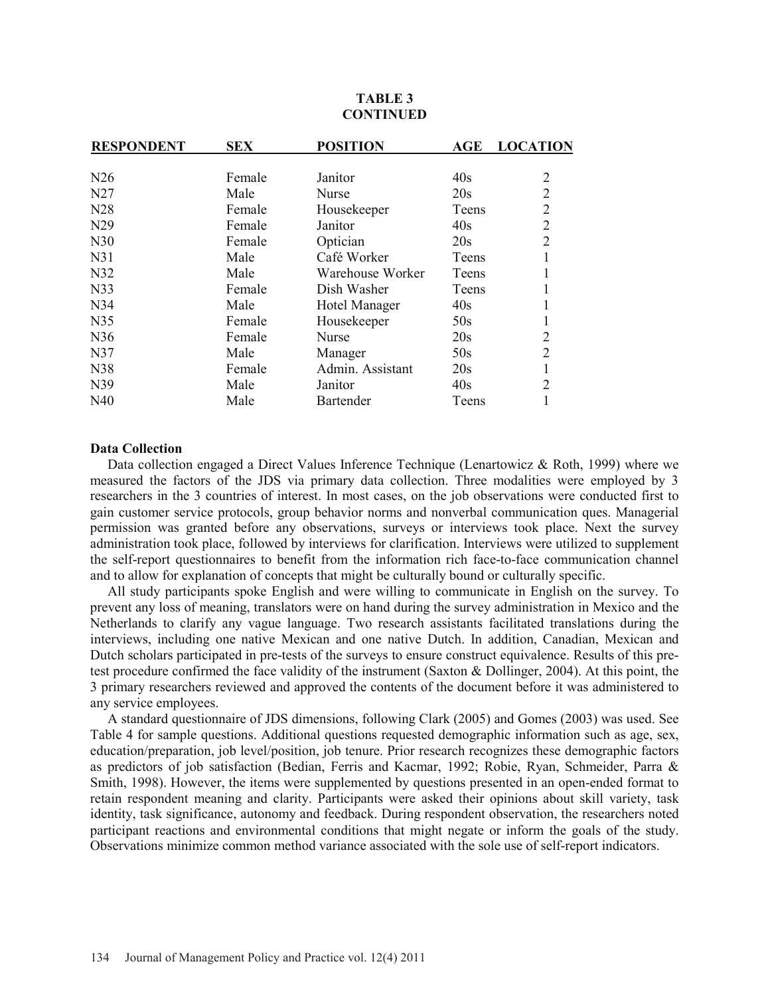| <b>RESPONDENT</b> | <b>SEX</b> | <b>POSITION</b>  | AGE   | <b>LOCATION</b> |
|-------------------|------------|------------------|-------|-----------------|
|                   |            |                  |       |                 |
| N26               | Female     | Janitor          | 40s   | $\overline{2}$  |
| N27               | Male       | Nurse            | 20s   | $\overline{2}$  |
| N <sub>28</sub>   | Female     | Housekeeper      | Teens | $\overline{2}$  |
| N <sub>29</sub>   | Female     | Janitor          | 40s   | $\overline{2}$  |
| N30               | Female     | Optician         | 20s   | $\overline{2}$  |
| N31               | Male       | Café Worker      | Teens |                 |
| N32               | Male       | Warehouse Worker | Teens | 1               |
| N33               | Female     | Dish Washer      | Teens | 1               |
| N34               | Male       | Hotel Manager    | 40s   | 1               |
| N35               | Female     | Housekeeper      | 50s   | 1               |
| N36               | Female     | Nurse            | 20s   | $\overline{2}$  |
| N37               | Male       | Manager          | 50s   | $\overline{2}$  |
| N38               | Female     | Admin. Assistant | 20s   | $\mathbf{1}$    |
| N39               | Male       | Janitor          | 40s   | $\overline{2}$  |
| N40               | Male       | <b>Bartender</b> | Teens |                 |
|                   |            |                  |       |                 |

# **TABLE 3 CONTINUED**

#### **Data Collection**

 Data collection engaged a Direct Values Inference Technique (Lenartowicz & Roth, 1999) where we measured the factors of the JDS via primary data collection. Three modalities were employed by 3 researchers in the 3 countries of interest. In most cases, on the job observations were conducted first to gain customer service protocols, group behavior norms and nonverbal communication ques. Managerial permission was granted before any observations, surveys or interviews took place. Next the survey administration took place, followed by interviews for clarification. Interviews were utilized to supplement the self-report questionnaires to benefit from the information rich face-to-face communication channel and to allow for explanation of concepts that might be culturally bound or culturally specific.

 All study participants spoke English and were willing to communicate in English on the survey. To prevent any loss of meaning, translators were on hand during the survey administration in Mexico and the Netherlands to clarify any vague language. Two research assistants facilitated translations during the interviews, including one native Mexican and one native Dutch. In addition, Canadian, Mexican and Dutch scholars participated in pre-tests of the surveys to ensure construct equivalence. Results of this pretest procedure confirmed the face validity of the instrument (Saxton & Dollinger, 2004). At this point, the 3 primary researchers reviewed and approved the contents of the document before it was administered to any service employees.

 A standard questionnaire of JDS dimensions, following Clark (2005) and Gomes (2003) was used. See Table 4 for sample questions. Additional questions requested demographic information such as age, sex, education/preparation, job level/position, job tenure. Prior research recognizes these demographic factors as predictors of job satisfaction (Bedian, Ferris and Kacmar, 1992; Robie, Ryan, Schmeider, Parra & Smith, 1998). However, the items were supplemented by questions presented in an open-ended format to retain respondent meaning and clarity. Participants were asked their opinions about skill variety, task identity, task significance, autonomy and feedback. During respondent observation, the researchers noted participant reactions and environmental conditions that might negate or inform the goals of the study. Observations minimize common method variance associated with the sole use of self-report indicators.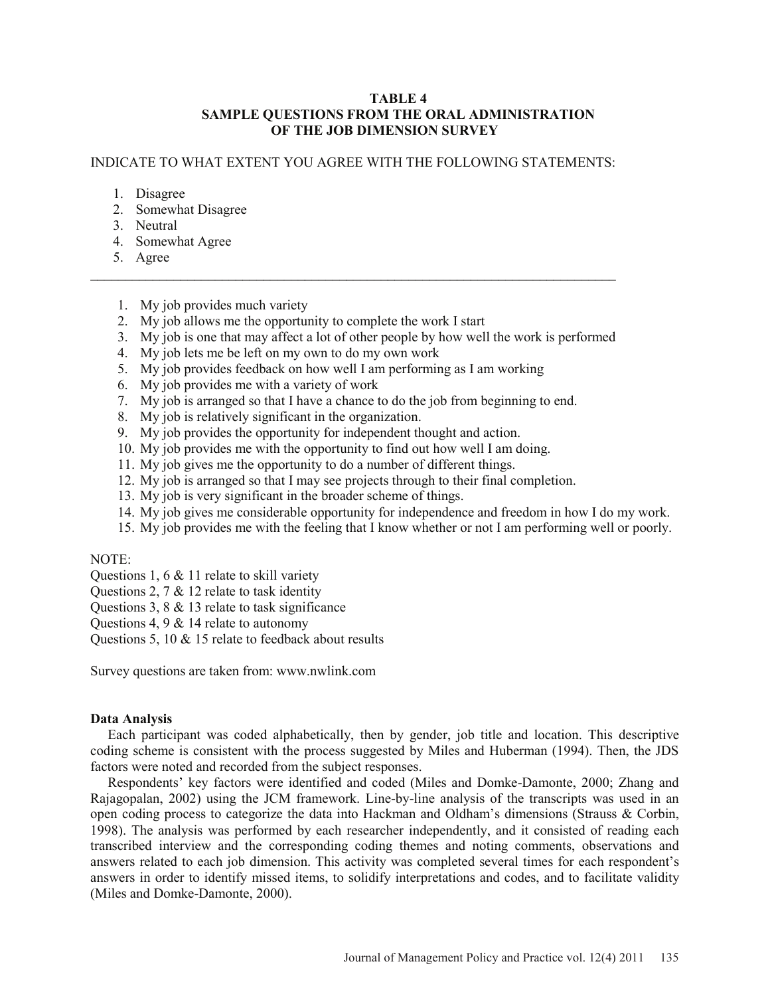# **TABLE 4 SAMPLE QUESTIONS FROM THE ORAL ADMINISTRATION OF THE JOB DIMENSION SURVEY**

# INDICATE TO WHAT EXTENT YOU AGREE WITH THE FOLLOWING STATEMENTS:

\_\_\_\_\_\_\_\_\_\_\_\_\_\_\_\_\_\_\_\_\_\_\_\_\_\_\_\_\_\_\_\_\_\_\_\_\_\_\_\_\_\_\_\_\_\_\_\_\_\_\_\_\_\_\_\_\_\_\_\_\_\_\_\_\_\_\_\_\_\_\_\_\_\_\_\_

- 1. Disagree
- 2. Somewhat Disagree
- 3. Neutral
- 4. Somewhat Agree
- 5. Agree
- 1. My job provides much variety
- 2. My job allows me the opportunity to complete the work I start
- 3. My job is one that may affect a lot of other people by how well the work is performed
- 4. My job lets me be left on my own to do my own work
- 5. My job provides feedback on how well I am performing as I am working
- 6. My job provides me with a variety of work
- 7. My job is arranged so that I have a chance to do the job from beginning to end.
- 8. My job is relatively significant in the organization.
- 9. My job provides the opportunity for independent thought and action.
- 10. My job provides me with the opportunity to find out how well I am doing.
- 11. My job gives me the opportunity to do a number of different things.
- 12. My job is arranged so that I may see projects through to their final completion.
- 13. My job is very significant in the broader scheme of things.
- 14. My job gives me considerable opportunity for independence and freedom in how I do my work.
- 15. My job provides me with the feeling that I know whether or not I am performing well or poorly.

## NOTE:

- Questions 1, 6 & 11 relate to skill variety
- Questions 2, 7 & 12 relate to task identity
- Questions 3, 8 & 13 relate to task significance
- Questions 4, 9 & 14 relate to autonomy

Questions 5, 10 & 15 relate to feedback about results

Survey questions are taken from: www.nwlink.com

# **Data Analysis**

 Each participant was coded alphabetically, then by gender, job title and location. This descriptive coding scheme is consistent with the process suggested by Miles and Huberman (1994). Then, the JDS factors were noted and recorded from the subject responses.

 Respondents' key factors were identified and coded (Miles and Domke-Damonte, 2000; Zhang and Rajagopalan, 2002) using the JCM framework. Line-by-line analysis of the transcripts was used in an open coding process to categorize the data into Hackman and Oldham's dimensions (Strauss & Corbin, 1998). The analysis was performed by each researcher independently, and it consisted of reading each transcribed interview and the corresponding coding themes and noting comments, observations and answers related to each job dimension. This activity was completed several times for each respondent's answers in order to identify missed items, to solidify interpretations and codes, and to facilitate validity (Miles and Domke-Damonte, 2000).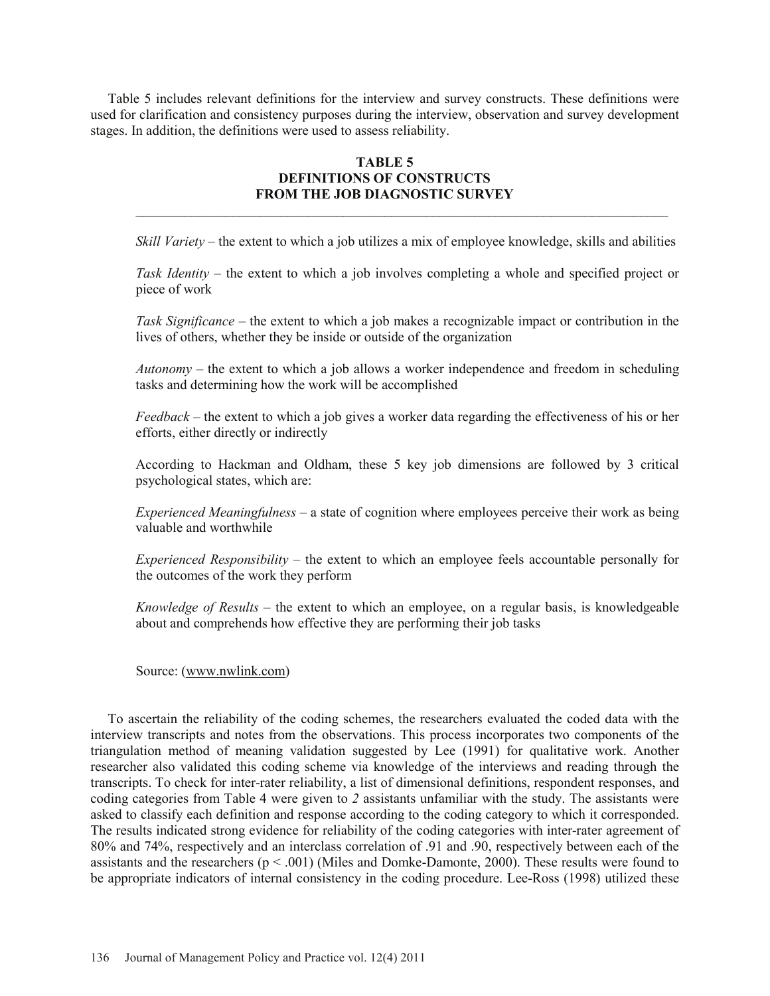Table 5 includes relevant definitions for the interview and survey constructs. These definitions were used for clarification and consistency purposes during the interview, observation and survey development stages. In addition, the definitions were used to assess reliability.

# **TABLE 5 DEFINITIONS OF CONSTRUCTS FROM THE JOB DIAGNOSTIC SURVEY**

 $\mathcal{L}_\mathcal{L} = \{ \mathcal{L}_\mathcal{L} = \{ \mathcal{L}_\mathcal{L} = \{ \mathcal{L}_\mathcal{L} = \{ \mathcal{L}_\mathcal{L} = \{ \mathcal{L}_\mathcal{L} = \{ \mathcal{L}_\mathcal{L} = \{ \mathcal{L}_\mathcal{L} = \{ \mathcal{L}_\mathcal{L} = \{ \mathcal{L}_\mathcal{L} = \{ \mathcal{L}_\mathcal{L} = \{ \mathcal{L}_\mathcal{L} = \{ \mathcal{L}_\mathcal{L} = \{ \mathcal{L}_\mathcal{L} = \{ \mathcal{L}_\mathcal{$ 

*Skill Variety* – the extent to which a job utilizes a mix of employee knowledge, skills and abilities

*Task Identity* – the extent to which a job involves completing a whole and specified project or piece of work

*Task Significance* – the extent to which a job makes a recognizable impact or contribution in the lives of others, whether they be inside or outside of the organization

*Autonomy* – the extent to which a job allows a worker independence and freedom in scheduling tasks and determining how the work will be accomplished

*Feedback* – the extent to which a job gives a worker data regarding the effectiveness of his or her efforts, either directly or indirectly

According to Hackman and Oldham, these 5 key job dimensions are followed by 3 critical psychological states, which are:

*Experienced Meaningfulness* – a state of cognition where employees perceive their work as being valuable and worthwhile

*Experienced Responsibility* – the extent to which an employee feels accountable personally for the outcomes of the work they perform

*Knowledge of Results* – the extent to which an employee, on a regular basis, is knowledgeable about and comprehends how effective they are performing their job tasks

Source: (www.nwlink.com)

 To ascertain the reliability of the coding schemes, the researchers evaluated the coded data with the interview transcripts and notes from the observations. This process incorporates two components of the triangulation method of meaning validation suggested by Lee (1991) for qualitative work. Another researcher also validated this coding scheme via knowledge of the interviews and reading through the transcripts. To check for inter-rater reliability, a list of dimensional definitions, respondent responses, and coding categories from Table 4 were given to *2* assistants unfamiliar with the study. The assistants were asked to classify each definition and response according to the coding category to which it corresponded. The results indicated strong evidence for reliability of the coding categories with inter-rater agreement of 80% and 74%, respectively and an interclass correlation of .91 and .90, respectively between each of the assistants and the researchers ( $p < .001$ ) (Miles and Domke-Damonte, 2000). These results were found to be appropriate indicators of internal consistency in the coding procedure. Lee-Ross (1998) utilized these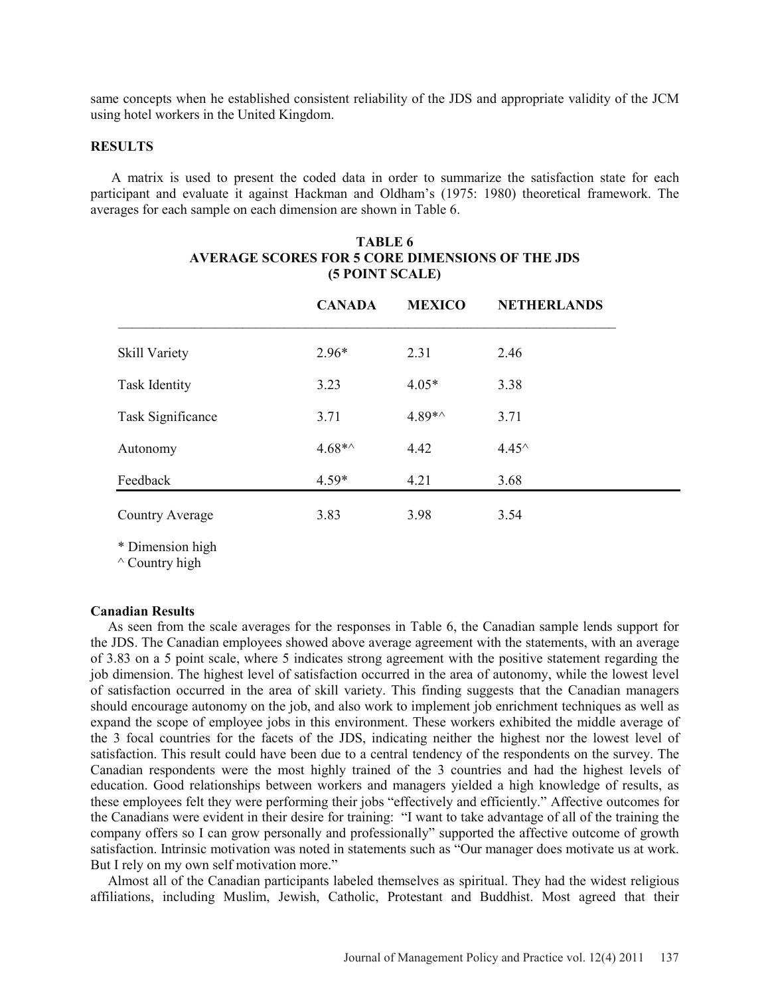same concepts when he established consistent reliability of the JDS and appropriate validity of the JCM using hotel workers in the United Kingdom.

### **RESULTS**

 A matrix is used to present the coded data in order to summarize the satisfaction state for each participant and evaluate it against Hackman and Oldham's (1975: 1980) theoretical framework. The averages for each sample on each dimension are shown in Table 6.

|                      | <b>CANADA</b> | <b>MEXICO</b> | <b>NETHERLANDS</b> |
|----------------------|---------------|---------------|--------------------|
| Skill Variety        | $2.96*$       | 2.31          | 2.46               |
| <b>Task Identity</b> | 3.23          | $4.05*$       | 3.38               |
| Task Significance    | 3.71          | $4.89**$      | 3.71               |
| Autonomy             | $4.68**$      | 4.42          | $4.45^{\circ}$     |
| Feedback             | $4.59*$       | 4.21          | 3.68               |
| Country Average      | 3.83          | 3.98          | 3.54               |

# **TABLE 6 AVERAGE SCORES FOR 5 CORE DIMENSIONS OF THE JDS (5 POINT SCALE)**

\* Dimension high

 $\wedge$  Country high

#### **Canadian Results**

 As seen from the scale averages for the responses in Table 6, the Canadian sample lends support for the JDS. The Canadian employees showed above average agreement with the statements, with an average of 3.83 on a 5 point scale, where 5 indicates strong agreement with the positive statement regarding the job dimension. The highest level of satisfaction occurred in the area of autonomy, while the lowest level of satisfaction occurred in the area of skill variety. This finding suggests that the Canadian managers should encourage autonomy on the job, and also work to implement job enrichment techniques as well as expand the scope of employee jobs in this environment. These workers exhibited the middle average of the 3 focal countries for the facets of the JDS, indicating neither the highest nor the lowest level of satisfaction. This result could have been due to a central tendency of the respondents on the survey. The Canadian respondents were the most highly trained of the 3 countries and had the highest levels of education. Good relationships between workers and managers yielded a high knowledge of results, as these employees felt they were performing their jobs "effectively and efficiently." Affective outcomes for the Canadians were evident in their desire for training: "I want to take advantage of all of the training the company offers so I can grow personally and professionally" supported the affective outcome of growth satisfaction. Intrinsic motivation was noted in statements such as "Our manager does motivate us at work. But I rely on my own self motivation more."

 Almost all of the Canadian participants labeled themselves as spiritual. They had the widest religious affiliations, including Muslim, Jewish, Catholic, Protestant and Buddhist. Most agreed that their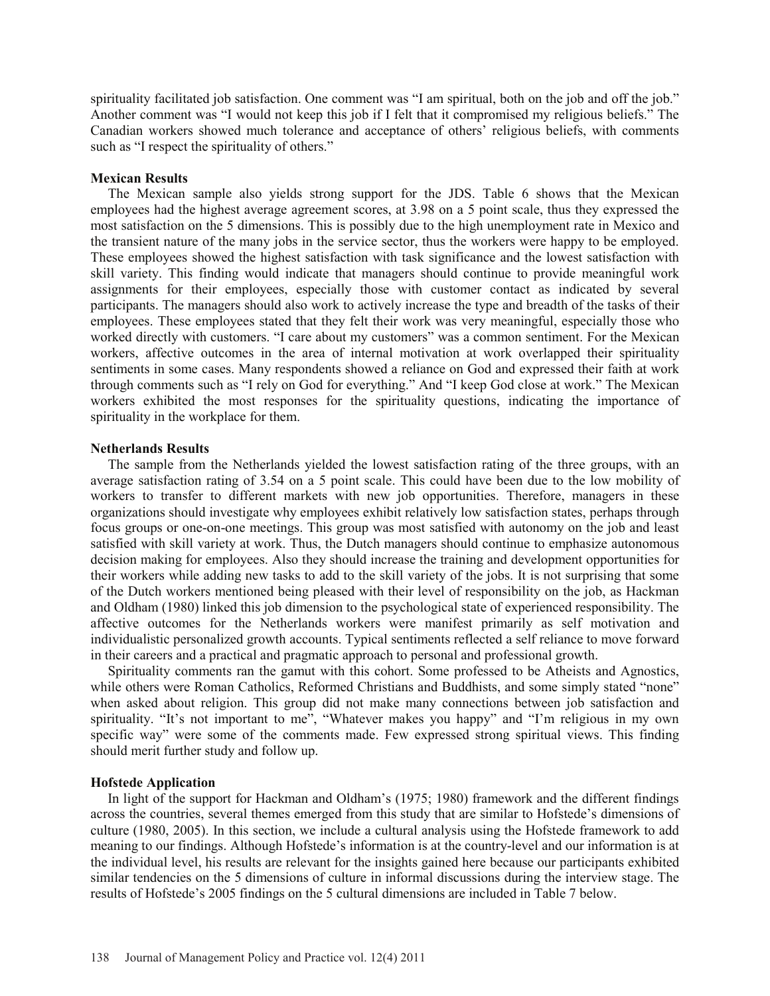spirituality facilitated job satisfaction. One comment was "I am spiritual, both on the job and off the job." Another comment was "I would not keep this job if I felt that it compromised my religious beliefs." The Canadian workers showed much tolerance and acceptance of others' religious beliefs, with comments such as "I respect the spirituality of others."

### **Mexican Results**

 The Mexican sample also yields strong support for the JDS. Table 6 shows that the Mexican employees had the highest average agreement scores, at 3.98 on a 5 point scale, thus they expressed the most satisfaction on the 5 dimensions. This is possibly due to the high unemployment rate in Mexico and the transient nature of the many jobs in the service sector, thus the workers were happy to be employed. These employees showed the highest satisfaction with task significance and the lowest satisfaction with skill variety. This finding would indicate that managers should continue to provide meaningful work assignments for their employees, especially those with customer contact as indicated by several participants. The managers should also work to actively increase the type and breadth of the tasks of their employees. These employees stated that they felt their work was very meaningful, especially those who worked directly with customers. "I care about my customers" was a common sentiment. For the Mexican workers, affective outcomes in the area of internal motivation at work overlapped their spirituality sentiments in some cases. Many respondents showed a reliance on God and expressed their faith at work through comments such as "I rely on God for everything." And "I keep God close at work." The Mexican workers exhibited the most responses for the spirituality questions, indicating the importance of spirituality in the workplace for them.

### **Netherlands Results**

 The sample from the Netherlands yielded the lowest satisfaction rating of the three groups, with an average satisfaction rating of 3.54 on a 5 point scale. This could have been due to the low mobility of workers to transfer to different markets with new job opportunities. Therefore, managers in these organizations should investigate why employees exhibit relatively low satisfaction states, perhaps through focus groups or one-on-one meetings. This group was most satisfied with autonomy on the job and least satisfied with skill variety at work. Thus, the Dutch managers should continue to emphasize autonomous decision making for employees. Also they should increase the training and development opportunities for their workers while adding new tasks to add to the skill variety of the jobs. It is not surprising that some of the Dutch workers mentioned being pleased with their level of responsibility on the job, as Hackman and Oldham (1980) linked this job dimension to the psychological state of experienced responsibility. The affective outcomes for the Netherlands workers were manifest primarily as self motivation and individualistic personalized growth accounts. Typical sentiments reflected a self reliance to move forward in their careers and a practical and pragmatic approach to personal and professional growth.

 Spirituality comments ran the gamut with this cohort. Some professed to be Atheists and Agnostics, while others were Roman Catholics, Reformed Christians and Buddhists, and some simply stated "none" when asked about religion. This group did not make many connections between job satisfaction and spirituality. "It's not important to me", "Whatever makes you happy" and "I'm religious in my own specific way" were some of the comments made. Few expressed strong spiritual views. This finding should merit further study and follow up.

#### **Hofstede Application**

 In light of the support for Hackman and Oldham's (1975; 1980) framework and the different findings across the countries, several themes emerged from this study that are similar to Hofstede's dimensions of culture (1980, 2005). In this section, we include a cultural analysis using the Hofstede framework to add meaning to our findings. Although Hofstede's information is at the country-level and our information is at the individual level, his results are relevant for the insights gained here because our participants exhibited similar tendencies on the 5 dimensions of culture in informal discussions during the interview stage. The results of Hofstede's 2005 findings on the 5 cultural dimensions are included in Table 7 below.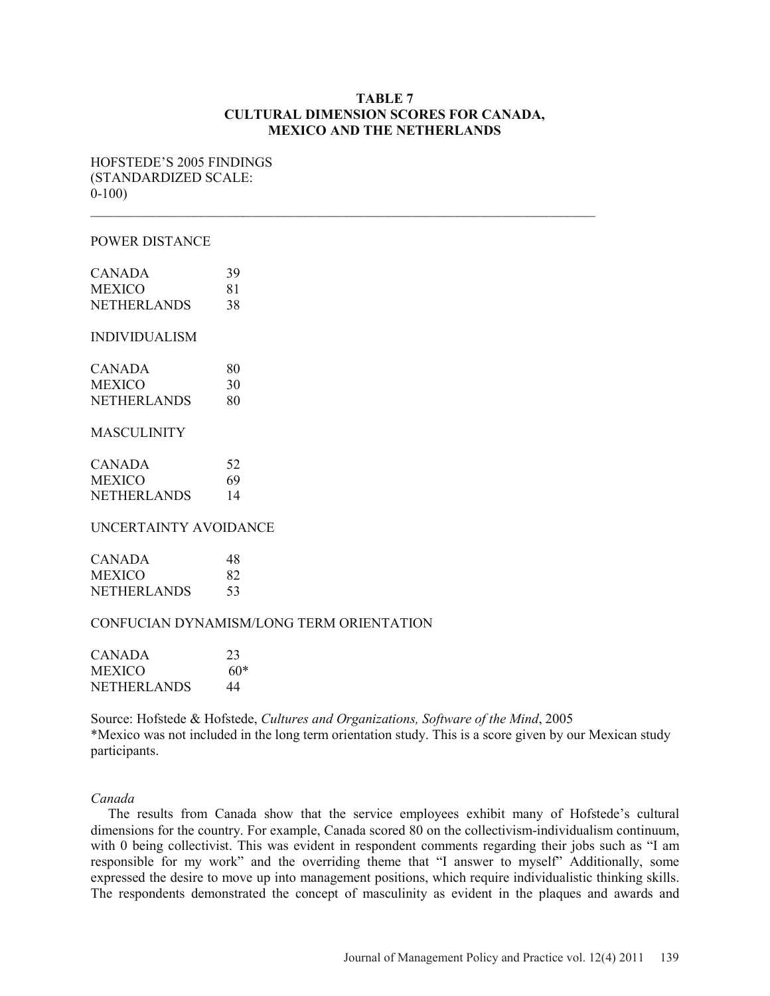## **TABLE 7 CULTURAL DIMENSION SCORES FOR CANADA, MEXICO AND THE NETHERLANDS**

 $\mathcal{L}_\text{max} = \frac{1}{2} \sum_{i=1}^n \mathcal{L}_\text{max}(\mathbf{z}_i - \mathbf{z}_i)$ 

HOFSTEDE'S 2005 FINDINGS (STANDARDIZED SCALE: 0-100)

#### POWER DISTANCE

| <b>CANADA</b>        | 39 |
|----------------------|----|
| <b>MEXICO</b>        | 81 |
| <b>NETHERLANDS</b>   | 38 |
| <b>INDIVIDUALISM</b> |    |
| <b>CANADA</b>        | 80 |
| <b>MEXICO</b>        | 30 |

NETHERLANDS 80

### MASCULINITY

| <b>CANADA</b>      | 52 |
|--------------------|----|
| <b>MEXICO</b>      | 69 |
| <b>NETHERLANDS</b> | 14 |

### UNCERTAINTY AVOIDANCE

| <b>CANADA</b>      | 48  |
|--------------------|-----|
| <b>MEXICO</b>      | 82. |
| <b>NETHERLANDS</b> | 53  |

## CONFUCIAN DYNAMISM/LONG TERM ORIENTATION

| CANADA             | 23    |
|--------------------|-------|
| <b>MEXICO</b>      | $60*$ |
| <b>NETHERLANDS</b> | 44    |

Source: Hofstede & Hofstede, *Cultures and Organizations, Software of the Mind*, 2005 \*Mexico was not included in the long term orientation study. This is a score given by our Mexican study participants.

### *Canada*

 The results from Canada show that the service employees exhibit many of Hofstede's cultural dimensions for the country. For example, Canada scored 80 on the collectivism-individualism continuum, with 0 being collectivist. This was evident in respondent comments regarding their jobs such as "I am responsible for my work" and the overriding theme that "I answer to myself" Additionally, some expressed the desire to move up into management positions, which require individualistic thinking skills. The respondents demonstrated the concept of masculinity as evident in the plaques and awards and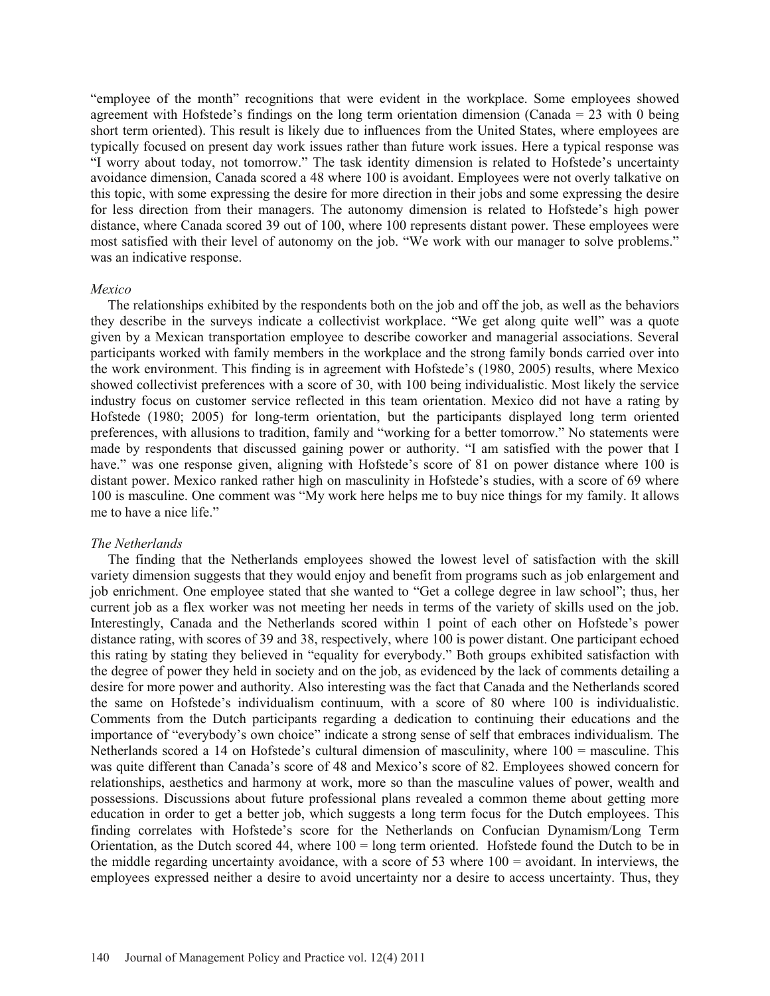"employee of the month" recognitions that were evident in the workplace. Some employees showed agreement with Hofstede's findings on the long term orientation dimension (Canada = 23 with 0 being short term oriented). This result is likely due to influences from the United States, where employees are typically focused on present day work issues rather than future work issues. Here a typical response was "I worry about today, not tomorrow." The task identity dimension is related to Hofstede's uncertainty avoidance dimension, Canada scored a 48 where 100 is avoidant. Employees were not overly talkative on this topic, with some expressing the desire for more direction in their jobs and some expressing the desire for less direction from their managers. The autonomy dimension is related to Hofstede's high power distance, where Canada scored 39 out of 100, where 100 represents distant power. These employees were most satisfied with their level of autonomy on the job. "We work with our manager to solve problems." was an indicative response.

#### *Mexico*

 The relationships exhibited by the respondents both on the job and off the job, as well as the behaviors they describe in the surveys indicate a collectivist workplace. "We get along quite well" was a quote given by a Mexican transportation employee to describe coworker and managerial associations. Several participants worked with family members in the workplace and the strong family bonds carried over into the work environment. This finding is in agreement with Hofstede's (1980, 2005) results, where Mexico showed collectivist preferences with a score of 30, with 100 being individualistic. Most likely the service industry focus on customer service reflected in this team orientation. Mexico did not have a rating by Hofstede (1980; 2005) for long-term orientation, but the participants displayed long term oriented preferences, with allusions to tradition, family and "working for a better tomorrow." No statements were made by respondents that discussed gaining power or authority. "I am satisfied with the power that I have." was one response given, aligning with Hofstede's score of 81 on power distance where 100 is distant power. Mexico ranked rather high on masculinity in Hofstede's studies, with a score of 69 where 100 is masculine. One comment was "My work here helps me to buy nice things for my family. It allows me to have a nice life."

### *The Netherlands*

 The finding that the Netherlands employees showed the lowest level of satisfaction with the skill variety dimension suggests that they would enjoy and benefit from programs such as job enlargement and job enrichment. One employee stated that she wanted to "Get a college degree in law school"; thus, her current job as a flex worker was not meeting her needs in terms of the variety of skills used on the job. Interestingly, Canada and the Netherlands scored within 1 point of each other on Hofstede's power distance rating, with scores of 39 and 38, respectively, where 100 is power distant. One participant echoed this rating by stating they believed in "equality for everybody." Both groups exhibited satisfaction with the degree of power they held in society and on the job, as evidenced by the lack of comments detailing a desire for more power and authority. Also interesting was the fact that Canada and the Netherlands scored the same on Hofstede's individualism continuum, with a score of 80 where 100 is individualistic. Comments from the Dutch participants regarding a dedication to continuing their educations and the importance of "everybody's own choice" indicate a strong sense of self that embraces individualism. The Netherlands scored a 14 on Hofstede's cultural dimension of masculinity, where 100 = masculine. This was quite different than Canada's score of 48 and Mexico's score of 82. Employees showed concern for relationships, aesthetics and harmony at work, more so than the masculine values of power, wealth and possessions. Discussions about future professional plans revealed a common theme about getting more education in order to get a better job, which suggests a long term focus for the Dutch employees. This finding correlates with Hofstede's score for the Netherlands on Confucian Dynamism/Long Term Orientation, as the Dutch scored 44, where 100 = long term oriented. Hofstede found the Dutch to be in the middle regarding uncertainty avoidance, with a score of 53 where 100 = avoidant. In interviews, the employees expressed neither a desire to avoid uncertainty nor a desire to access uncertainty. Thus, they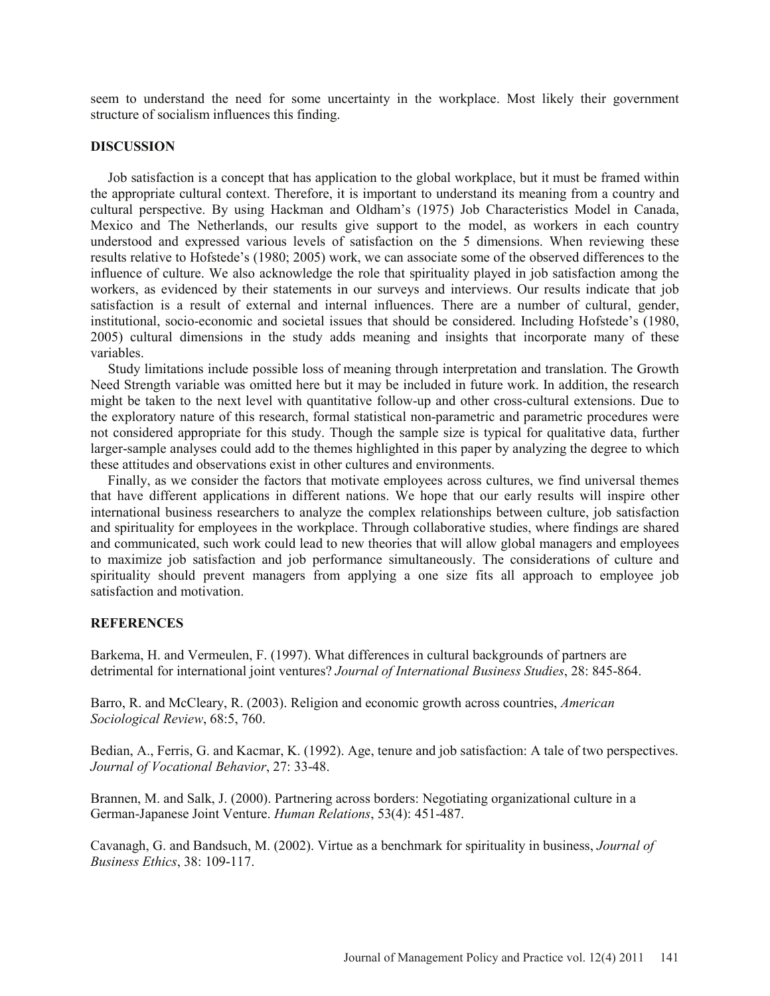seem to understand the need for some uncertainty in the workplace. Most likely their government structure of socialism influences this finding.

### **DISCUSSION**

 Job satisfaction is a concept that has application to the global workplace, but it must be framed within the appropriate cultural context. Therefore, it is important to understand its meaning from a country and cultural perspective. By using Hackman and Oldham's (1975) Job Characteristics Model in Canada, Mexico and The Netherlands, our results give support to the model, as workers in each country understood and expressed various levels of satisfaction on the 5 dimensions. When reviewing these results relative to Hofstede's (1980; 2005) work, we can associate some of the observed differences to the influence of culture. We also acknowledge the role that spirituality played in job satisfaction among the workers, as evidenced by their statements in our surveys and interviews. Our results indicate that job satisfaction is a result of external and internal influences. There are a number of cultural, gender, institutional, socio-economic and societal issues that should be considered. Including Hofstede's (1980, 2005) cultural dimensions in the study adds meaning and insights that incorporate many of these variables.

 Study limitations include possible loss of meaning through interpretation and translation. The Growth Need Strength variable was omitted here but it may be included in future work. In addition, the research might be taken to the next level with quantitative follow-up and other cross-cultural extensions. Due to the exploratory nature of this research, formal statistical non-parametric and parametric procedures were not considered appropriate for this study. Though the sample size is typical for qualitative data, further larger-sample analyses could add to the themes highlighted in this paper by analyzing the degree to which these attitudes and observations exist in other cultures and environments.

 Finally, as we consider the factors that motivate employees across cultures, we find universal themes that have different applications in different nations. We hope that our early results will inspire other international business researchers to analyze the complex relationships between culture, job satisfaction and spirituality for employees in the workplace. Through collaborative studies, where findings are shared and communicated, such work could lead to new theories that will allow global managers and employees to maximize job satisfaction and job performance simultaneously. The considerations of culture and spirituality should prevent managers from applying a one size fits all approach to employee job satisfaction and motivation.

# **REFERENCES**

Barkema, H. and Vermeulen, F. (1997). What differences in cultural backgrounds of partners are detrimental for international joint ventures? *Journal of International Business Studies*, 28: 845-864.

Barro, R. and McCleary, R. (2003). Religion and economic growth across countries, *American Sociological Review*, 68:5, 760.

Bedian, A., Ferris, G. and Kacmar, K. (1992). Age, tenure and job satisfaction: A tale of two perspectives. *Journal of Vocational Behavior*, 27: 33-48.

Brannen, M. and Salk, J. (2000). Partnering across borders: Negotiating organizational culture in a German-Japanese Joint Venture. *Human Relations*, 53(4): 451-487.

Cavanagh, G. and Bandsuch, M. (2002). Virtue as a benchmark for spirituality in business, *Journal of Business Ethics*, 38: 109-117.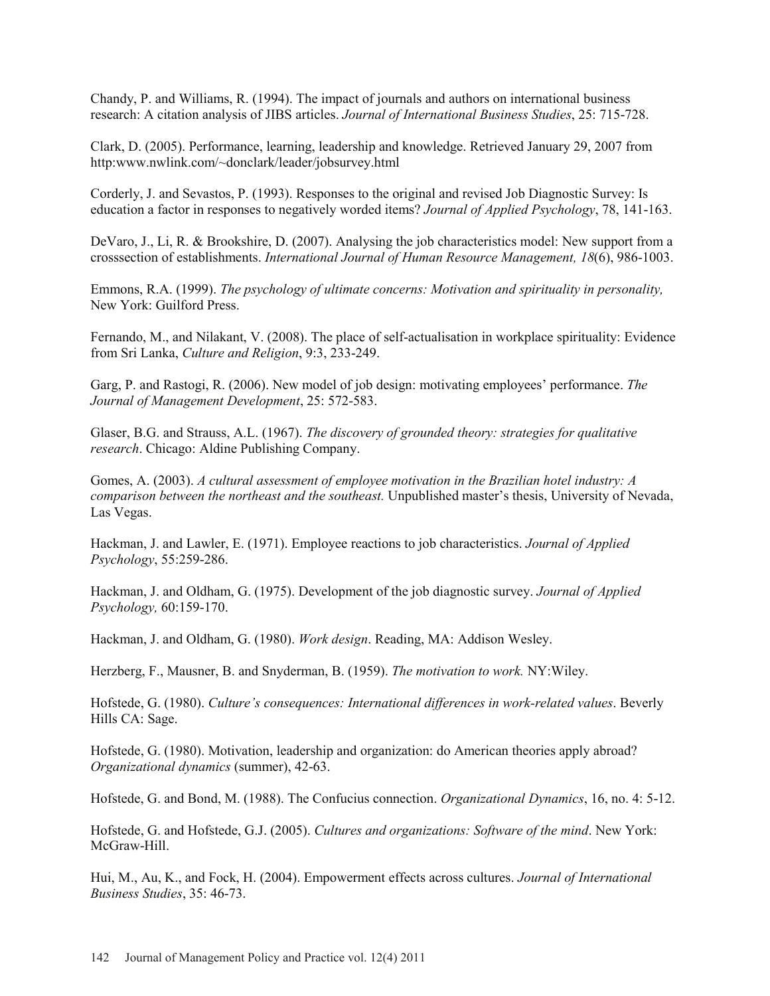Chandy, P. and Williams, R. (1994). The impact of journals and authors on international business research: A citation analysis of JIBS articles. *Journal of International Business Studies*, 25: 715-728.

Clark, D. (2005). Performance, learning, leadership and knowledge. Retrieved January 29, 2007 from http:www.nwlink.com/~donclark/leader/jobsurvey.html

Corderly, J. and Sevastos, P. (1993). Responses to the original and revised Job Diagnostic Survey: Is education a factor in responses to negatively worded items? *Journal of Applied Psychology*, 78, 141-163.

DeVaro, J., Li, R. & Brookshire, D. (2007). Analysing the job characteristics model: New support from a crosssection of establishments. *International Journal of Human Resource Management, 18*(6), 986-1003.

Emmons, R.A. (1999). *The psychology of ultimate concerns: Motivation and spirituality in personality,* New York: Guilford Press.

Fernando, M., and Nilakant, V. (2008). The place of self-actualisation in workplace spirituality: Evidence from Sri Lanka, *Culture and Religion*, 9:3, 233-249.

Garg, P. and Rastogi, R. (2006). New model of job design: motivating employees' performance. *The Journal of Management Development*, 25: 572-583.

Glaser, B.G. and Strauss, A.L. (1967). *The discovery of grounded theory: strategies for qualitative research*. Chicago: Aldine Publishing Company.

Gomes, A. (2003). *A cultural assessment of employee motivation in the Brazilian hotel industry: A comparison between the northeast and the southeast.* Unpublished master's thesis, University of Nevada, Las Vegas.

Hackman, J. and Lawler, E. (1971). Employee reactions to job characteristics. *Journal of Applied Psychology*, 55:259-286.

Hackman, J. and Oldham, G. (1975). Development of the job diagnostic survey. *Journal of Applied Psychology,* 60:159-170.

Hackman, J. and Oldham, G. (1980). *Work design*. Reading, MA: Addison Wesley.

Herzberg, F., Mausner, B. and Snyderman, B. (1959). *The motivation to work.* NY:Wiley.

Hofstede, G. (1980). *Culture's consequences: International differences in work-related values*. Beverly Hills CA: Sage.

Hofstede, G. (1980). Motivation, leadership and organization: do American theories apply abroad? *Organizational dynamics* (summer), 42-63.

Hofstede, G. and Bond, M. (1988). The Confucius connection. *Organizational Dynamics*, 16, no. 4: 5-12.

Hofstede, G. and Hofstede, G.J. (2005). *Cultures and organizations: Software of the mind*. New York: McGraw-Hill.

Hui, M., Au, K., and Fock, H. (2004). Empowerment effects across cultures. *Journal of International Business Studies*, 35: 46-73.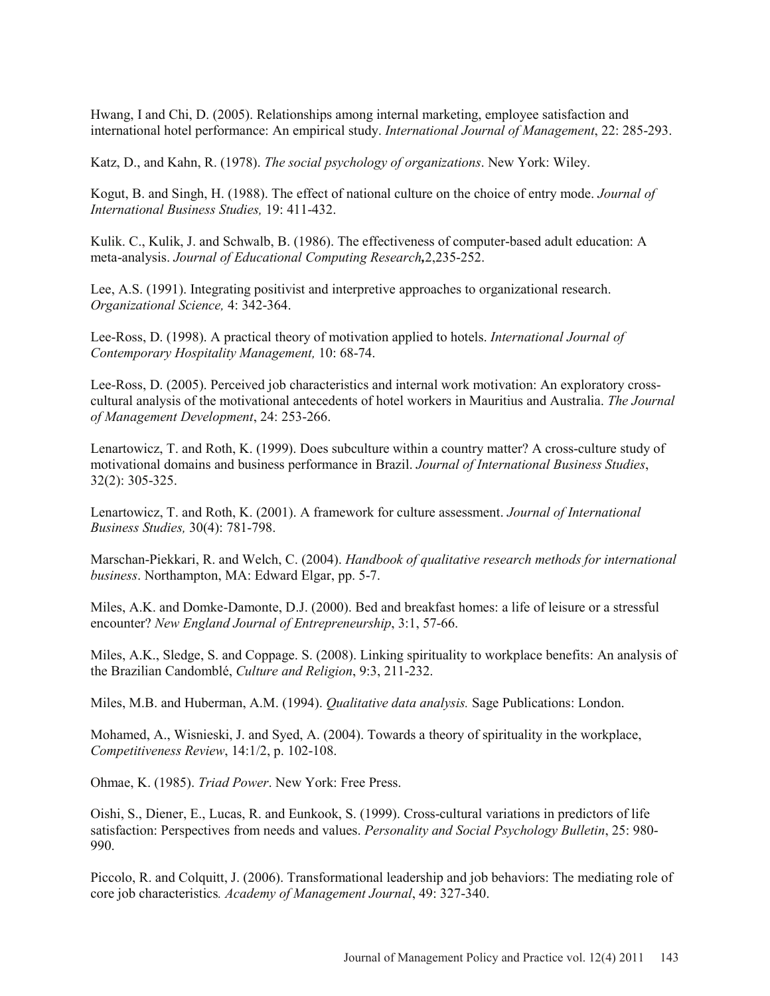Hwang, I and Chi, D. (2005). Relationships among internal marketing, employee satisfaction and international hotel performance: An empirical study. *International Journal of Management*, 22: 285-293.

Katz, D., and Kahn, R. (1978). *The social psychology of organizations*. New York: Wiley.

Kogut, B. and Singh, H. (1988). The effect of national culture on the choice of entry mode. *Journal of International Business Studies,* 19: 411-432.

Kulik. C., Kulik, J. and Schwalb, B. (1986). The effectiveness of computer-based adult education: A meta-analysis. *Journal of Educational Computing Research,*2,235-252.

Lee, A.S. (1991). Integrating positivist and interpretive approaches to organizational research. *Organizational Science,* 4: 342-364.

Lee-Ross, D. (1998). A practical theory of motivation applied to hotels. *International Journal of Contemporary Hospitality Management,* 10: 68-74.

Lee-Ross, D. (2005). Perceived job characteristics and internal work motivation: An exploratory crosscultural analysis of the motivational antecedents of hotel workers in Mauritius and Australia. *The Journal of Management Development*, 24: 253-266.

Lenartowicz, T. and Roth, K. (1999). Does subculture within a country matter? A cross-culture study of motivational domains and business performance in Brazil. *Journal of International Business Studies*, 32(2): 305-325.

Lenartowicz, T. and Roth, K. (2001). A framework for culture assessment. *Journal of International Business Studies,* 30(4): 781-798.

Marschan-Piekkari, R. and Welch, C. (2004). *Handbook of qualitative research methods for international business*. Northampton, MA: Edward Elgar, pp. 5-7.

Miles, A.K. and Domke-Damonte, D.J. (2000). Bed and breakfast homes: a life of leisure or a stressful encounter? *New England Journal of Entrepreneurship*, 3:1, 57-66.

Miles, A.K., Sledge, S. and Coppage. S. (2008). Linking spirituality to workplace benefits: An analysis of the Brazilian Candomblé, *Culture and Religion*, 9:3, 211-232.

Miles, M.B. and Huberman, A.M. (1994). *Qualitative data analysis.* Sage Publications: London.

Mohamed, A., Wisnieski, J. and Syed, A. (2004). Towards a theory of spirituality in the workplace, *Competitiveness Review*, 14:1/2, p. 102-108.

Ohmae, K. (1985). *Triad Power*. New York: Free Press.

Oishi, S., Diener, E., Lucas, R. and Eunkook, S. (1999). Cross-cultural variations in predictors of life satisfaction: Perspectives from needs and values. *Personality and Social Psychology Bulletin*, 25: 980- 990.

Piccolo, R. and Colquitt, J. (2006). Transformational leadership and job behaviors: The mediating role of core job characteristics*. Academy of Management Journal*, 49: 327-340.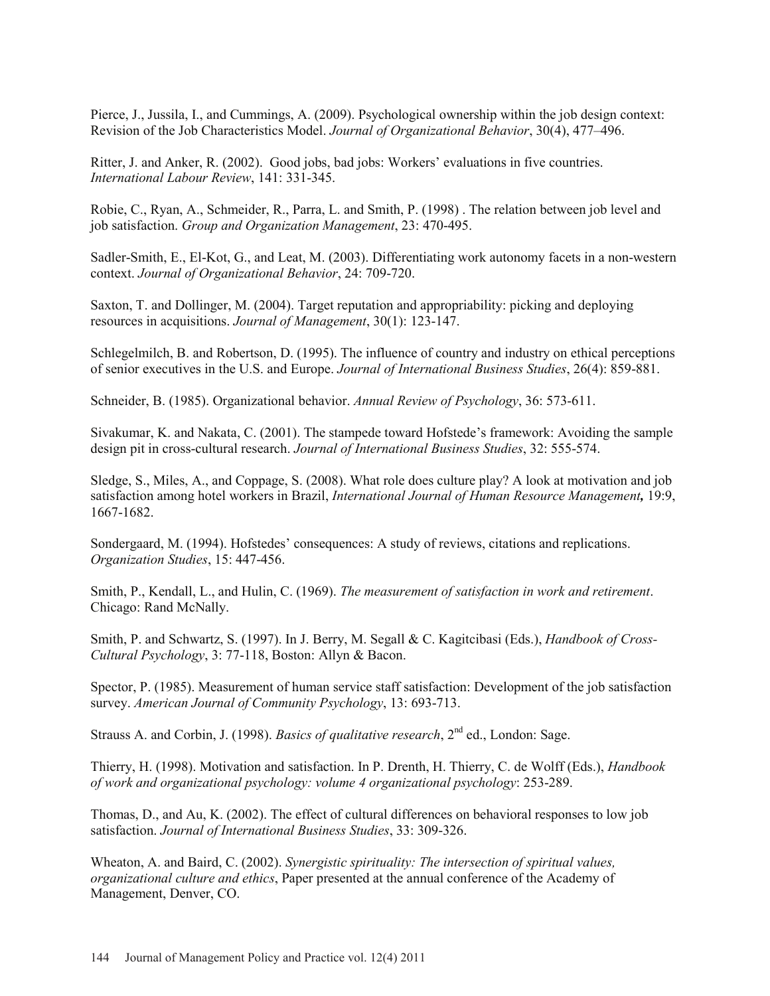Pierce, J., Jussila, I., and Cummings, A. (2009). Psychological ownership within the job design context: Revision of the Job Characteristics Model. *Journal of Organizational Behavior*, 30(4), 477–496.

Ritter, J. and Anker, R. (2002). Good jobs, bad jobs: Workers' evaluations in five countries. *International Labour Review*, 141: 331-345.

Robie, C., Ryan, A., Schmeider, R., Parra, L. and Smith, P. (1998) . The relation between job level and job satisfaction. *Group and Organization Management*, 23: 470-495.

Sadler-Smith, E., El-Kot, G., and Leat, M. (2003). Differentiating work autonomy facets in a non-western context. *Journal of Organizational Behavior*, 24: 709-720.

Saxton, T. and Dollinger, M. (2004). Target reputation and appropriability: picking and deploying resources in acquisitions. *Journal of Management*, 30(1): 123-147.

Schlegelmilch, B. and Robertson, D. (1995). The influence of country and industry on ethical perceptions of senior executives in the U.S. and Europe. *Journal of International Business Studies*, 26(4): 859-881.

Schneider, B. (1985). Organizational behavior. *Annual Review of Psychology*, 36: 573-611.

Sivakumar, K. and Nakata, C. (2001). The stampede toward Hofstede's framework: Avoiding the sample design pit in cross-cultural research. *Journal of International Business Studies*, 32: 555-574.

Sledge, S., Miles, A., and Coppage, S. (2008). What role does culture play? A look at motivation and job satisfaction among hotel workers in Brazil, *International Journal of Human Resource Management,* 19:9, 1667-1682.

Sondergaard, M. (1994). Hofstedes' consequences: A study of reviews, citations and replications. *Organization Studies*, 15: 447-456.

Smith, P., Kendall, L., and Hulin, C. (1969). *The measurement of satisfaction in work and retirement*. Chicago: Rand McNally.

Smith, P. and Schwartz, S. (1997). In J. Berry, M. Segall & C. Kagitcibasi (Eds.), *Handbook of Cross-Cultural Psychology*, 3: 77-118, Boston: Allyn & Bacon.

Spector, P. (1985). Measurement of human service staff satisfaction: Development of the job satisfaction survey. *American Journal of Community Psychology*, 13: 693-713.

Strauss A. and Corbin, J. (1998). *Basics of qualitative research*, 2<sup>nd</sup> ed., London: Sage.

Thierry, H. (1998). Motivation and satisfaction. In P. Drenth, H. Thierry, C. de Wolff (Eds.), *Handbook of work and organizational psychology: volume 4 organizational psychology*: 253-289.

Thomas, D., and Au, K. (2002). The effect of cultural differences on behavioral responses to low job satisfaction. *Journal of International Business Studies*, 33: 309-326.

Wheaton, A. and Baird, C. (2002). *Synergistic spirituality: The intersection of spiritual values, organizational culture and ethics*, Paper presented at the annual conference of the Academy of Management, Denver, CO.